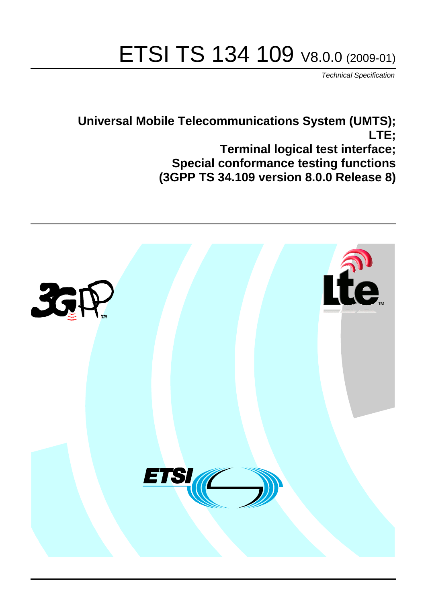# ETSI TS 134 109 V8.0.0 (2009-01)

*Technical Specification*

**Universal Mobile Telecommunications System (UMTS); LTE; Terminal logical test interface; Special conformance testing functions (3GPP TS 34.109 version 8.0.0 Release 8)**

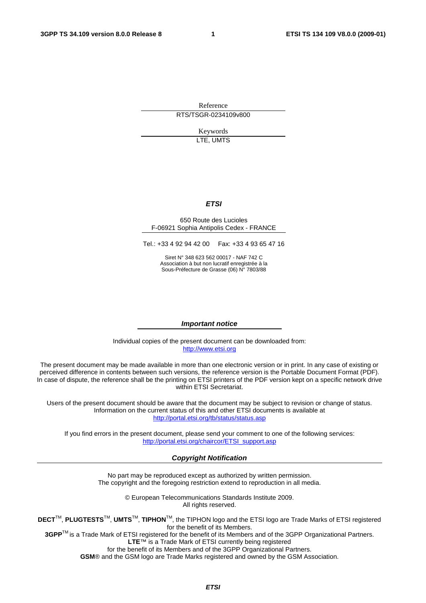Reference RTS/TSGR-0234109v800

> Keywords LTE, UMTS

#### *ETSI*

#### 650 Route des Lucioles F-06921 Sophia Antipolis Cedex - FRANCE

Tel.: +33 4 92 94 42 00 Fax: +33 4 93 65 47 16

Siret N° 348 623 562 00017 - NAF 742 C Association à but non lucratif enregistrée à la Sous-Préfecture de Grasse (06) N° 7803/88

#### *Important notice*

Individual copies of the present document can be downloaded from: [http://www.etsi.org](http://www.etsi.org/)

The present document may be made available in more than one electronic version or in print. In any case of existing or perceived difference in contents between such versions, the reference version is the Portable Document Format (PDF). In case of dispute, the reference shall be the printing on ETSI printers of the PDF version kept on a specific network drive within ETSI Secretariat.

Users of the present document should be aware that the document may be subject to revision or change of status. Information on the current status of this and other ETSI documents is available at <http://portal.etsi.org/tb/status/status.asp>

If you find errors in the present document, please send your comment to one of the following services: [http://portal.etsi.org/chaircor/ETSI\\_support.asp](http://portal.etsi.org/chaircor/ETSI_support.asp)

#### *Copyright Notification*

No part may be reproduced except as authorized by written permission. The copyright and the foregoing restriction extend to reproduction in all media.

> © European Telecommunications Standards Institute 2009. All rights reserved.

**DECT**TM, **PLUGTESTS**TM, **UMTS**TM, **TIPHON**TM, the TIPHON logo and the ETSI logo are Trade Marks of ETSI registered for the benefit of its Members.

**3GPP**TM is a Trade Mark of ETSI registered for the benefit of its Members and of the 3GPP Organizational Partners. **LTE**™ is a Trade Mark of ETSI currently being registered

for the benefit of its Members and of the 3GPP Organizational Partners.

**GSM**® and the GSM logo are Trade Marks registered and owned by the GSM Association.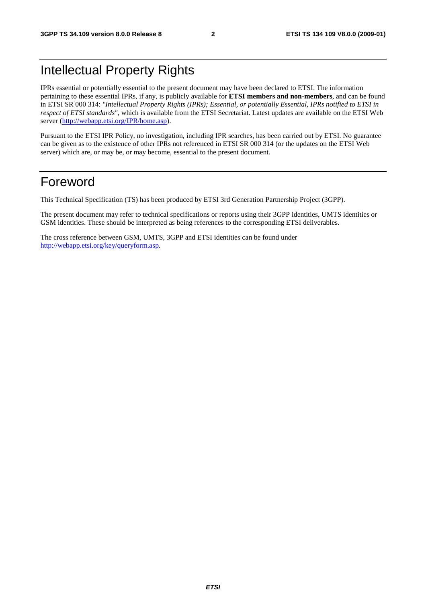# Intellectual Property Rights

IPRs essential or potentially essential to the present document may have been declared to ETSI. The information pertaining to these essential IPRs, if any, is publicly available for **ETSI members and non-members**, and can be found in ETSI SR 000 314: *"Intellectual Property Rights (IPRs); Essential, or potentially Essential, IPRs notified to ETSI in respect of ETSI standards"*, which is available from the ETSI Secretariat. Latest updates are available on the ETSI Web server [\(http://webapp.etsi.org/IPR/home.asp\)](http://webapp.etsi.org/IPR/home.asp).

Pursuant to the ETSI IPR Policy, no investigation, including IPR searches, has been carried out by ETSI. No guarantee can be given as to the existence of other IPRs not referenced in ETSI SR 000 314 (or the updates on the ETSI Web server) which are, or may be, or may become, essential to the present document.

### Foreword

This Technical Specification (TS) has been produced by ETSI 3rd Generation Partnership Project (3GPP).

The present document may refer to technical specifications or reports using their 3GPP identities, UMTS identities or GSM identities. These should be interpreted as being references to the corresponding ETSI deliverables.

The cross reference between GSM, UMTS, 3GPP and ETSI identities can be found under [http://webapp.etsi.org/key/queryform.asp.](http://webapp.etsi.org/key/queryform.asp)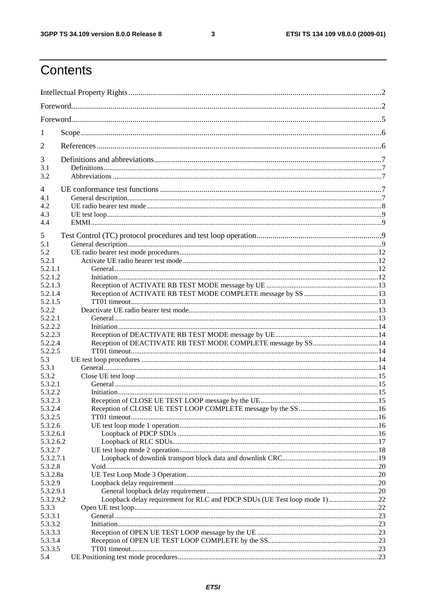$\mathbf{3}$ 

# Contents

| 1         |                                                                           |  |
|-----------|---------------------------------------------------------------------------|--|
| 2         |                                                                           |  |
| 3         |                                                                           |  |
| 3.1       |                                                                           |  |
| 3.2       |                                                                           |  |
| 4         |                                                                           |  |
| 4.1       |                                                                           |  |
| 4.2       |                                                                           |  |
| 4.3       |                                                                           |  |
| 4.4       |                                                                           |  |
| 5         |                                                                           |  |
| 5.1       |                                                                           |  |
| 5.2       |                                                                           |  |
| 5.2.1     |                                                                           |  |
| 5.2.1.1   |                                                                           |  |
| 5.2.1.2   |                                                                           |  |
| 5.2.1.3   |                                                                           |  |
| 5.2.1.4   |                                                                           |  |
| 5.2.1.5   |                                                                           |  |
| 5.2.2     |                                                                           |  |
| 5.2.2.1   |                                                                           |  |
| 5.2.2.2   |                                                                           |  |
| 5.2.2.3   |                                                                           |  |
| 5.2.2.4   | Reception of DEACTIVATE RB TEST MODE COMPLETE message by SS 14            |  |
| 5.2.2.5   |                                                                           |  |
| 5.3       |                                                                           |  |
| 5.3.1     |                                                                           |  |
| 5.3.2     |                                                                           |  |
|           |                                                                           |  |
| 5.3.2.1   |                                                                           |  |
| 5.3.2.2   |                                                                           |  |
| 5.3.2.3   |                                                                           |  |
| 5.3.2.4   |                                                                           |  |
| 5.3.2.5   |                                                                           |  |
| 5.3.2.6   |                                                                           |  |
| 5.3.2.6.1 |                                                                           |  |
| 5.3.2.6.2 |                                                                           |  |
| 5.3.2.7   |                                                                           |  |
| 5.3.2.7.1 |                                                                           |  |
| 5.3.2.8   |                                                                           |  |
| 5.3.2.8a  |                                                                           |  |
| 5.3.2.9   |                                                                           |  |
| 5.3.2.9.1 |                                                                           |  |
| 5.3.2.9.2 | Loopback delay requirement for RLC and PDCP SDUs (UE Test loop mode 1) 22 |  |
| 5.3.3     |                                                                           |  |
| 5.3.3.1   |                                                                           |  |
| 5.3.3.2   |                                                                           |  |
| 5.3.3.3   |                                                                           |  |
| 5.3.3.4   |                                                                           |  |
| 5.3.3.5   |                                                                           |  |
| 5.4       |                                                                           |  |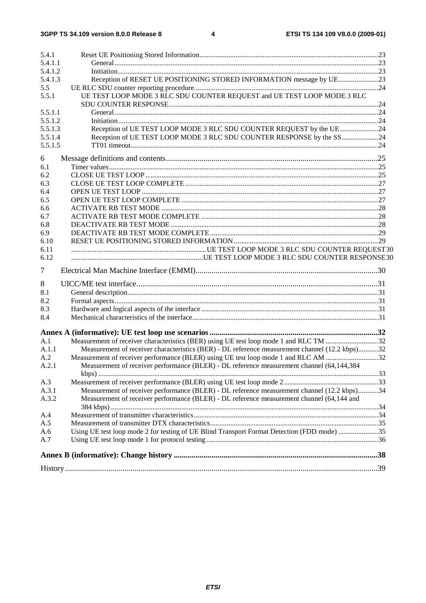| 5.4.1          |                                                                                                                                                                                          |  |
|----------------|------------------------------------------------------------------------------------------------------------------------------------------------------------------------------------------|--|
| 5.4.1.1        |                                                                                                                                                                                          |  |
| 5.4.1.2        |                                                                                                                                                                                          |  |
| 5.4.1.3        | Reception of RESET UE POSITIONING STORED INFORMATION message by UE23                                                                                                                     |  |
| 5.5            |                                                                                                                                                                                          |  |
| 5.5.1          | UE TEST LOOP MODE 3 RLC SDU COUNTER REQUEST and UE TEST LOOP MODE 3 RLC                                                                                                                  |  |
| 5.5.1.1        |                                                                                                                                                                                          |  |
| 5.5.1.2        |                                                                                                                                                                                          |  |
| 5.5.1.3        | Reception of UE TEST LOOP MODE 3 RLC SDU COUNTER REQUEST by the UE 24                                                                                                                    |  |
| 5.5.1.4        | Reception of UE TEST LOOP MODE 3 RLC SDU COUNTER RESPONSE by the SS24                                                                                                                    |  |
| 5.5.1.5        |                                                                                                                                                                                          |  |
| 6              |                                                                                                                                                                                          |  |
| 6.1            |                                                                                                                                                                                          |  |
| 6.2            |                                                                                                                                                                                          |  |
| 6.3            |                                                                                                                                                                                          |  |
| 6.4            |                                                                                                                                                                                          |  |
| 6.5            |                                                                                                                                                                                          |  |
| 6.6            |                                                                                                                                                                                          |  |
| 6.7            |                                                                                                                                                                                          |  |
| 6.8            |                                                                                                                                                                                          |  |
| 6.9            |                                                                                                                                                                                          |  |
| 6.10           |                                                                                                                                                                                          |  |
| 6.11           |                                                                                                                                                                                          |  |
| 6.12           |                                                                                                                                                                                          |  |
| 7              |                                                                                                                                                                                          |  |
| 8              |                                                                                                                                                                                          |  |
| 8.1            |                                                                                                                                                                                          |  |
| 8.2            |                                                                                                                                                                                          |  |
| 8.3            |                                                                                                                                                                                          |  |
| 8.4            |                                                                                                                                                                                          |  |
|                |                                                                                                                                                                                          |  |
| A.1            |                                                                                                                                                                                          |  |
| A.1.1          | Measurement of receiver characteristics (BER) - DL reference measurement channel (12.2 kbps)32                                                                                           |  |
| A.2            |                                                                                                                                                                                          |  |
|                | Measurement of receiver performance (BLER) using UE test loop mode 1 and RLC AM 32                                                                                                       |  |
| A.2.1          | Measurement of receiver performance (BLER) - DL reference measurement channel (64,144,384                                                                                                |  |
|                |                                                                                                                                                                                          |  |
| A.3            |                                                                                                                                                                                          |  |
| A.3.1<br>A.3.2 | Measurement of receiver performance (BLER) - DL reference measurement channel (12.2 kbps)34<br>Measurement of receiver performance (BLER) - DL reference measurement channel (64,144 and |  |
|                |                                                                                                                                                                                          |  |
| A.4            |                                                                                                                                                                                          |  |
| A.5            |                                                                                                                                                                                          |  |
| A.6            | Using UE test loop mode 2 for testing of UE Blind Transport Format Detection (FDD mode) 35                                                                                               |  |
| A.7            |                                                                                                                                                                                          |  |
|                |                                                                                                                                                                                          |  |
|                |                                                                                                                                                                                          |  |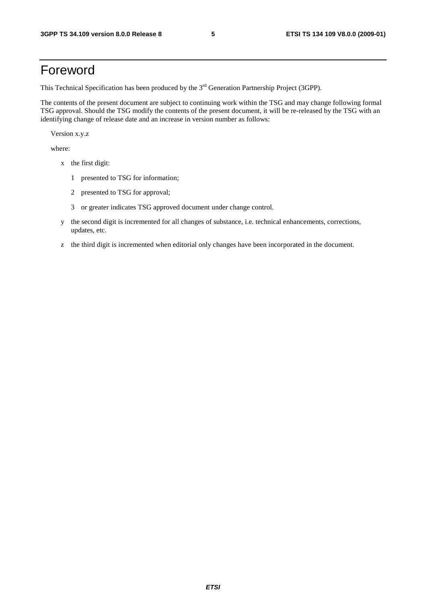# Foreword

This Technical Specification has been produced by the 3<sup>rd</sup> Generation Partnership Project (3GPP).

The contents of the present document are subject to continuing work within the TSG and may change following formal TSG approval. Should the TSG modify the contents of the present document, it will be re-released by the TSG with an identifying change of release date and an increase in version number as follows:

Version x.y.z

where:

- x the first digit:
	- 1 presented to TSG for information;
	- 2 presented to TSG for approval;
	- 3 or greater indicates TSG approved document under change control.
- y the second digit is incremented for all changes of substance, i.e. technical enhancements, corrections, updates, etc.
- z the third digit is incremented when editorial only changes have been incorporated in the document.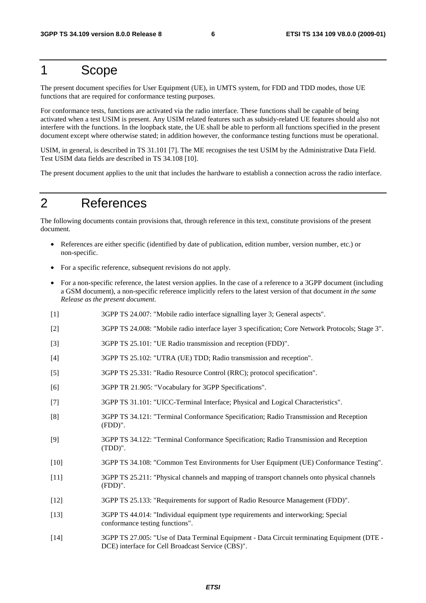### 1 Scope

The present document specifies for User Equipment (UE), in UMTS system, for FDD and TDD modes, those UE functions that are required for conformance testing purposes.

For conformance tests, functions are activated via the radio interface. These functions shall be capable of being activated when a test USIM is present. Any USIM related features such as subsidy-related UE features should also not interfere with the functions. In the loopback state, the UE shall be able to perform all functions specified in the present document except where otherwise stated; in addition however, the conformance testing functions must be operational.

USIM, in general, is described in TS 31.101 [7]. The ME recognises the test USIM by the Administrative Data Field. Test USIM data fields are described in TS 34.108 [10].

The present document applies to the unit that includes the hardware to establish a connection across the radio interface.

# 2 References

The following documents contain provisions that, through reference in this text, constitute provisions of the present document.

- References are either specific (identified by date of publication, edition number, version number, etc.) or non-specific.
- For a specific reference, subsequent revisions do not apply.
- For a non-specific reference, the latest version applies. In the case of a reference to a 3GPP document (including a GSM document), a non-specific reference implicitly refers to the latest version of that document *in the same Release as the present document*.
- [1] 3GPP TS 24.007: "Mobile radio interface signalling layer 3; General aspects".
- [2] 3GPP TS 24.008: "Mobile radio interface layer 3 specification; Core Network Protocols; Stage 3".
- [3] 3GPP TS 25.101: "UE Radio transmission and reception (FDD)".
- [4] 3GPP TS 25.102: "UTRA (UE) TDD; Radio transmission and reception".
- [5] 3GPP TS 25.331: "Radio Resource Control (RRC); protocol specification".
- [6] 3GPP TR 21.905: "Vocabulary for 3GPP Specifications".
- [7] 3GPP TS 31.101: "UICC-Terminal Interface; Physical and Logical Characteristics".
- [8] 3GPP TS 34.121: "Terminal Conformance Specification; Radio Transmission and Reception (FDD)".
- [9] 3GPP TS 34.122: "Terminal Conformance Specification; Radio Transmission and Reception (TDD)".
- [10] 3GPP TS 34.108: "Common Test Environments for User Equipment (UE) Conformance Testing".
- [11] 3GPP TS 25.211: "Physical channels and mapping of transport channels onto physical channels (FDD)".
- [12] 3GPP TS 25.133: "Requirements for support of Radio Resource Management (FDD)".
- [13] 3GPP TS 44.014: "Individual equipment type requirements and interworking; Special conformance testing functions".
- [14] 3GPP TS 27.005: "Use of Data Terminal Equipment Data Circuit terminating Equipment (DTE DCE) interface for Cell Broadcast Service (CBS)".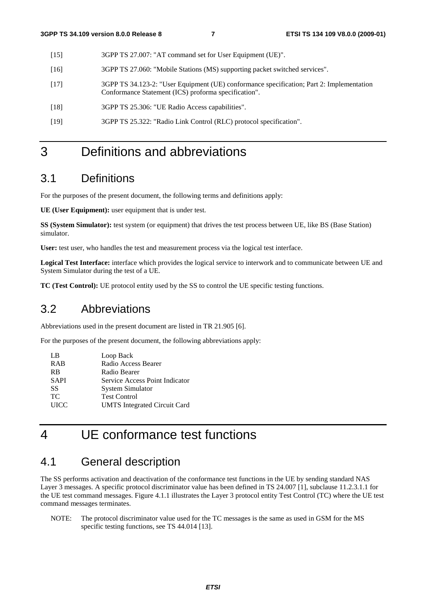- [15] 3GPP TS 27.007: "AT command set for User Equipment (UE)".
- [16] 3GPP TS 27.060: "Mobile Stations (MS) supporting packet switched services".
- [17] 3GPP TS 34.123-2: "User Equipment (UE) conformance specification; Part 2: Implementation Conformance Statement (ICS) proforma specification".
- [18] 3GPP TS 25.306: "UE Radio Access capabilities".
- [19] 3GPP TS 25.322: "Radio Link Control (RLC) protocol specification".

# 3 Definitions and abbreviations

### 3.1 Definitions

For the purposes of the present document, the following terms and definitions apply:

**UE (User Equipment):** user equipment that is under test.

**SS (System Simulator):** test system (or equipment) that drives the test process between UE, like BS (Base Station) simulator.

**User:** test user, who handles the test and measurement process via the logical test interface.

**Logical Test Interface:** interface which provides the logical service to interwork and to communicate between UE and System Simulator during the test of a UE.

**TC (Test Control):** UE protocol entity used by the SS to control the UE specific testing functions.

### 3.2 Abbreviations

Abbreviations used in the present document are listed in TR 21.905 [6].

For the purposes of the present document, the following abbreviations apply:

| LB          | Loop Back                           |
|-------------|-------------------------------------|
| <b>RAB</b>  | Radio Access Bearer                 |
| <b>RB</b>   | Radio Bearer                        |
| <b>SAPI</b> | Service Access Point Indicator      |
| SS          | System Simulator                    |
| TC.         | <b>Test Control</b>                 |
| <b>UICC</b> | <b>UMTS</b> Integrated Circuit Card |
|             |                                     |

# 4 UE conformance test functions

### 4.1 General description

The SS performs activation and deactivation of the conformance test functions in the UE by sending standard NAS Layer 3 messages. A specific protocol discriminator value has been defined in TS 24.007 [1], subclause 11.2.3.1.1 for the UE test command messages. Figure 4.1.1 illustrates the Layer 3 protocol entity Test Control (TC) where the UE test command messages terminates.

NOTE: The protocol discriminator value used for the TC messages is the same as used in GSM for the MS specific testing functions, see TS 44.014 [13].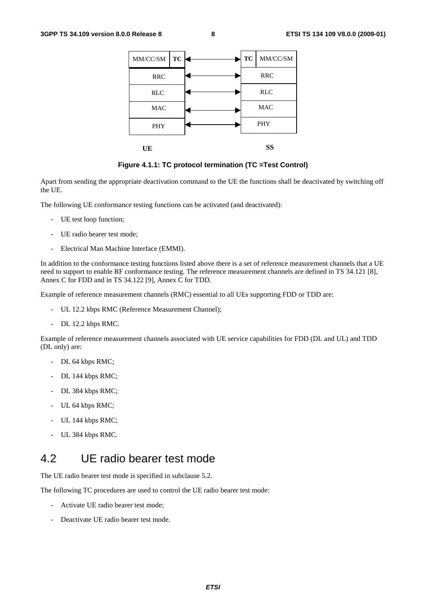| MM/CC/SM<br>TC | <b>TC</b>  | $\text{MM/CC/SM}$ |
|----------------|------------|-------------------|
| <b>RRC</b>     |            | RRC               |
| <b>RLC</b>     |            | <b>RLC</b>        |
| <b>MAC</b>     | <b>MAC</b> |                   |
| <b>PHY</b>     | <b>PHY</b> |                   |
| UE             |            | SS                |

**Figure 4.1.1: TC protocol termination (TC =Test Control)** 

Apart from sending the appropriate deactivation command to the UE the functions shall be deactivated by switching off the UE.

The following UE conformance testing functions can be activated (and deactivated):

- UE test loop function;
- UE radio bearer test mode;
- Electrical Man Machine Interface (EMMI).

In addition to the conformance testing functions listed above there is a set of reference measurement channels that a UE need to support to enable RF conformance testing. The reference measurement channels are defined in TS 34.121 [8], Annex C for FDD and in TS 34.122 [9], Annex C for TDD.

Example of reference measurement channels (RMC) essential to all UEs supporting FDD or TDD are:

- UL 12.2 kbps RMC (Reference Measurement Channel);
- DL 12.2 kbps RMC.

Example of reference measurement channels associated with UE service capabilities for FDD (DL and UL) and TDD (DL only) are:

- DL 64 kbps RMC;
- DL 144 kbps RMC;
- DL 384 kbps RMC;
- UL 64 kbps RMC;
- UL 144 kbps RMC;
- UL 384 kbps RMC.

### 4.2 UE radio bearer test mode

The UE radio bearer test mode is specified in subclause 5.2.

The following TC procedures are used to control the UE radio bearer test mode:

- Activate UE radio bearer test mode;
- Deactivate UE radio bearer test mode.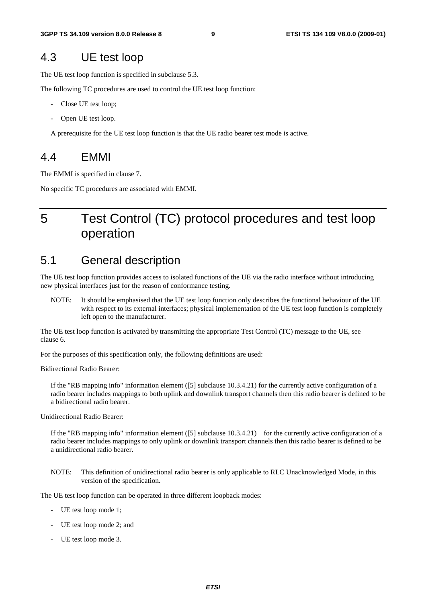### 4.3 UE test loop

The UE test loop function is specified in subclause 5.3.

The following TC procedures are used to control the UE test loop function:

- Close UE test loop;
- Open UE test loop.

A prerequisite for the UE test loop function is that the UE radio bearer test mode is active.

### 4.4 EMMI

The EMMI is specified in clause 7.

No specific TC procedures are associated with EMMI.

# 5 Test Control (TC) protocol procedures and test loop operation

### 5.1 General description

The UE test loop function provides access to isolated functions of the UE via the radio interface without introducing new physical interfaces just for the reason of conformance testing.

NOTE: It should be emphasised that the UE test loop function only describes the functional behaviour of the UE with respect to its external interfaces; physical implementation of the UE test loop function is completely left open to the manufacturer.

The UE test loop function is activated by transmitting the appropriate Test Control (TC) message to the UE, see clause 6.

For the purposes of this specification only, the following definitions are used:

Bidirectional Radio Bearer:

If the "RB mapping info" information element ([5] subclause 10.3.4.21) for the currently active configuration of a radio bearer includes mappings to both uplink and downlink transport channels then this radio bearer is defined to be a bidirectional radio bearer.

Unidirectional Radio Bearer:

If the "RB mapping info" information element  $([5]$  subclause  $10.3.4.21)$  for the currently active configuration of a radio bearer includes mappings to only uplink or downlink transport channels then this radio bearer is defined to be a unidirectional radio bearer.

NOTE: This definition of unidirectional radio bearer is only applicable to RLC Unacknowledged Mode, in this version of the specification.

The UE test loop function can be operated in three different loopback modes:

- UE test loop mode 1;
- UE test loop mode 2; and
- UE test loop mode 3.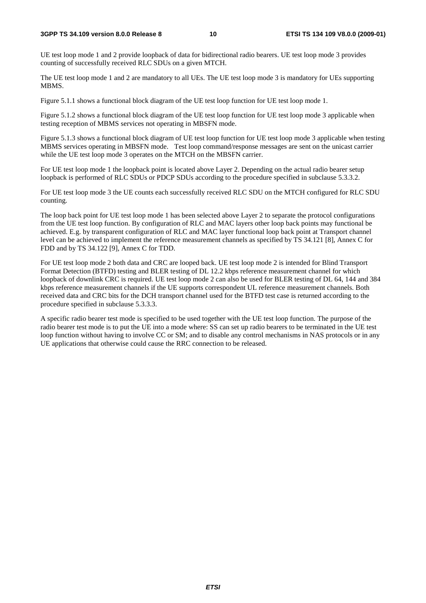#### **3GPP TS 34.109 version 8.0.0 Release 8 10 ETSI TS 134 109 V8.0.0 (2009-01)**

UE test loop mode 1 and 2 provide loopback of data for bidirectional radio bearers. UE test loop mode 3 provides counting of successfully received RLC SDUs on a given MTCH.

The UE test loop mode 1 and 2 are mandatory to all UEs. The UE test loop mode 3 is mandatory for UEs supporting MBMS.

Figure 5.1.1 shows a functional block diagram of the UE test loop function for UE test loop mode 1.

Figure 5.1.2 shows a functional block diagram of the UE test loop function for UE test loop mode 3 applicable when testing reception of MBMS services not operating in MBSFN mode.

Figure 5.1.3 shows a functional block diagram of UE test loop function for UE test loop mode 3 applicable when testing MBMS services operating in MBSFN mode. Test loop command/response messages are sent on the unicast carrier while the UE test loop mode 3 operates on the MTCH on the MBSFN carrier.

For UE test loop mode 1 the loopback point is located above Layer 2. Depending on the actual radio bearer setup loopback is performed of RLC SDUs or PDCP SDUs according to the procedure specified in subclause 5.3.3.2.

For UE test loop mode 3 the UE counts each successfully received RLC SDU on the MTCH configured for RLC SDU counting.

The loop back point for UE test loop mode 1 has been selected above Layer 2 to separate the protocol configurations from the UE test loop function. By configuration of RLC and MAC layers other loop back points may functional be achieved. E.g. by transparent configuration of RLC and MAC layer functional loop back point at Transport channel level can be achieved to implement the reference measurement channels as specified by TS 34.121 [8], Annex C for FDD and by TS 34.122 [9], Annex C for TDD.

For UE test loop mode 2 both data and CRC are looped back. UE test loop mode 2 is intended for Blind Transport Format Detection (BTFD) testing and BLER testing of DL 12.2 kbps reference measurement channel for which loopback of downlink CRC is required. UE test loop mode 2 can also be used for BLER testing of DL 64, 144 and 384 kbps reference measurement channels if the UE supports correspondent UL reference measurement channels. Both received data and CRC bits for the DCH transport channel used for the BTFD test case is returned according to the procedure specified in subclause 5.3.3.3.

A specific radio bearer test mode is specified to be used together with the UE test loop function. The purpose of the radio bearer test mode is to put the UE into a mode where: SS can set up radio bearers to be terminated in the UE test loop function without having to involve CC or SM; and to disable any control mechanisms in NAS protocols or in any UE applications that otherwise could cause the RRC connection to be released.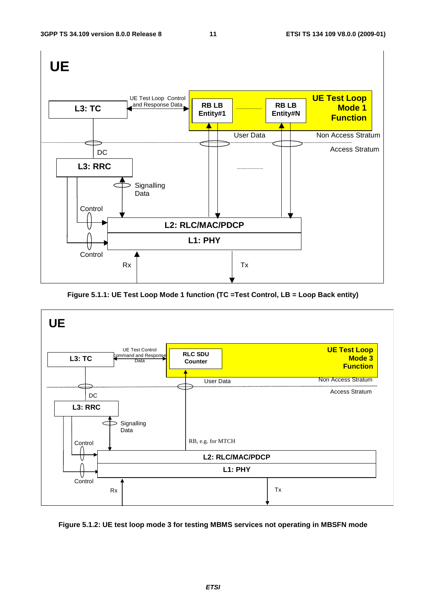

**Figure 5.1.1: UE Test Loop Mode 1 function (TC =Test Control, LB = Loop Back entity)** 



**Figure 5.1.2: UE test loop mode 3 for testing MBMS services not operating in MBSFN mode**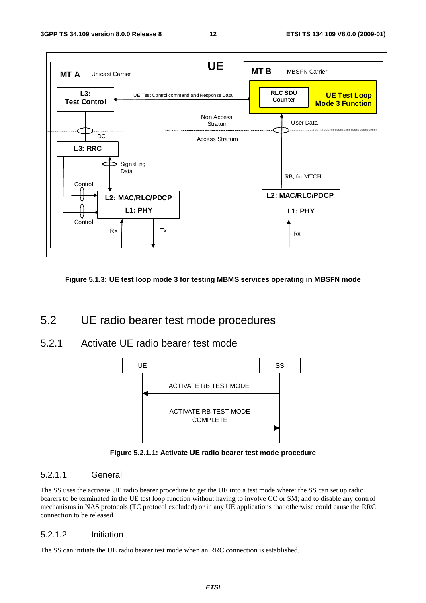

**Figure 5.1.3: UE test loop mode 3 for testing MBMS services operating in MBSFN mode** 

### 5.2 UE radio bearer test mode procedures

5.2.1 Activate UE radio bearer test mode



**Figure 5.2.1.1: Activate UE radio bearer test mode procedure** 

#### 5.2.1.1 General

The SS uses the activate UE radio bearer procedure to get the UE into a test mode where: the SS can set up radio bearers to be terminated in the UE test loop function without having to involve CC or SM; and to disable any control mechanisms in NAS protocols (TC protocol excluded) or in any UE applications that otherwise could cause the RRC connection to be released.

#### 5.2.1.2 Initiation

The SS can initiate the UE radio bearer test mode when an RRC connection is established.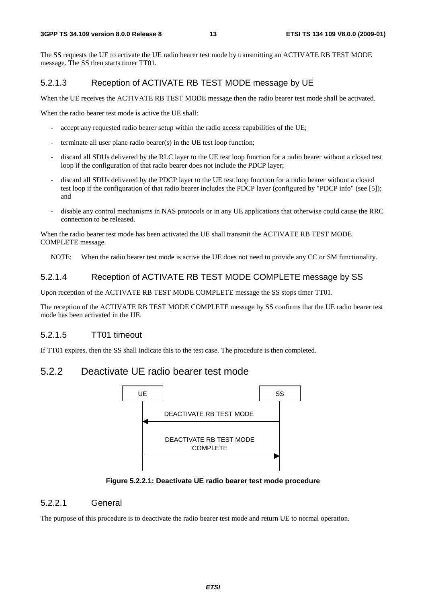The SS requests the UE to activate the UE radio bearer test mode by transmitting an ACTIVATE RB TEST MODE message. The SS then starts timer TT01.

### 5.2.1.3 Reception of ACTIVATE RB TEST MODE message by UE

When the UE receives the ACTIVATE RB TEST MODE message then the radio bearer test mode shall be activated.

When the radio bearer test mode is active the UE shall:

- accept any requested radio bearer setup within the radio access capabilities of the UE;
- terminate all user plane radio bearer(s) in the UE test loop function;
- discard all SDUs delivered by the RLC layer to the UE test loop function for a radio bearer without a closed test loop if the configuration of that radio bearer does not include the PDCP layer;
- discard all SDUs delivered by the PDCP layer to the UE test loop function for a radio bearer without a closed test loop if the configuration of that radio bearer includes the PDCP layer (configured by "PDCP info" (see [5]); and
- disable any control mechanisms in NAS protocols or in any UE applications that otherwise could cause the RRC connection to be released.

When the radio bearer test mode has been activated the UE shall transmit the ACTIVATE RB TEST MODE COMPLETE message.

NOTE: When the radio bearer test mode is active the UE does not need to provide any CC or SM functionality.

#### 5.2.1.4 Reception of ACTIVATE RB TEST MODE COMPLETE message by SS

Upon reception of the ACTIVATE RB TEST MODE COMPLETE message the SS stops timer TT01.

The reception of the ACTIVATE RB TEST MODE COMPLETE message by SS confirms that the UE radio bearer test mode has been activated in the UE.

### 5.2.1.5 TT01 timeout

If TT01 expires, then the SS shall indicate this to the test case. The procedure is then completed.

### 5.2.2 Deactivate UE radio bearer test mode



#### **Figure 5.2.2.1: Deactivate UE radio bearer test mode procedure**

#### 5.2.2.1 General

The purpose of this procedure is to deactivate the radio bearer test mode and return UE to normal operation.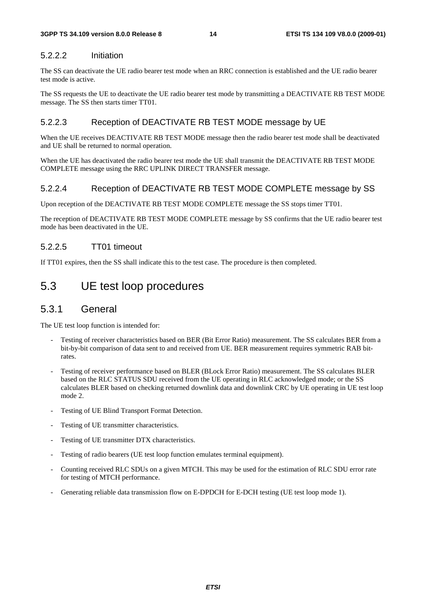### 5.2.2.2 Initiation

The SS can deactivate the UE radio bearer test mode when an RRC connection is established and the UE radio bearer test mode is active.

The SS requests the UE to deactivate the UE radio bearer test mode by transmitting a DEACTIVATE RB TEST MODE message. The SS then starts timer TT01.

#### 5.2.2.3 Reception of DEACTIVATE RB TEST MODE message by UE

When the UE receives DEACTIVATE RB TEST MODE message then the radio bearer test mode shall be deactivated and UE shall be returned to normal operation.

When the UE has deactivated the radio bearer test mode the UE shall transmit the DEACTIVATE RB TEST MODE COMPLETE message using the RRC UPLINK DIRECT TRANSFER message.

#### 5.2.2.4 Reception of DEACTIVATE RB TEST MODE COMPLETE message by SS

Upon reception of the DEACTIVATE RB TEST MODE COMPLETE message the SS stops timer TT01.

The reception of DEACTIVATE RB TEST MODE COMPLETE message by SS confirms that the UE radio bearer test mode has been deactivated in the UE.

#### 5.2.2.5 TT01 timeout

If TT01 expires, then the SS shall indicate this to the test case. The procedure is then completed.

### 5.3 UE test loop procedures

### 5.3.1 General

The UE test loop function is intended for:

- Testing of receiver characteristics based on BER (Bit Error Ratio) measurement. The SS calculates BER from a bit-by-bit comparison of data sent to and received from UE. BER measurement requires symmetric RAB bitrates.
- Testing of receiver performance based on BLER (BLock Error Ratio) measurement. The SS calculates BLER based on the RLC STATUS SDU received from the UE operating in RLC acknowledged mode; or the SS calculates BLER based on checking returned downlink data and downlink CRC by UE operating in UE test loop mode 2.
- Testing of UE Blind Transport Format Detection.
- Testing of UE transmitter characteristics.
- Testing of UE transmitter DTX characteristics.
- Testing of radio bearers (UE test loop function emulates terminal equipment).
- Counting received RLC SDUs on a given MTCH. This may be used for the estimation of RLC SDU error rate for testing of MTCH performance.
- Generating reliable data transmission flow on E-DPDCH for E-DCH testing (UE test loop mode 1).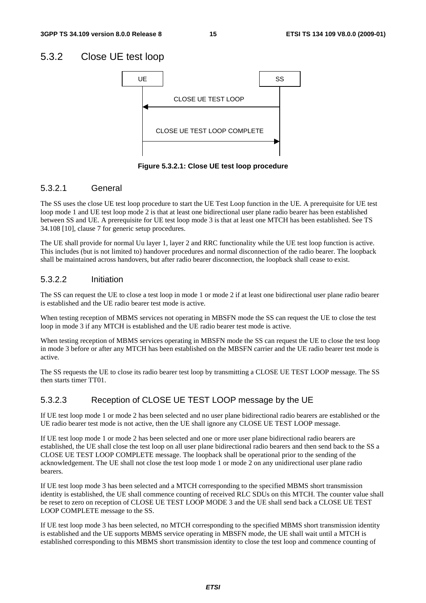### 5.3.2 Close UE test loop



**Figure 5.3.2.1: Close UE test loop procedure** 

### 5.3.2.1 General

The SS uses the close UE test loop procedure to start the UE Test Loop function in the UE. A prerequisite for UE test loop mode 1 and UE test loop mode 2 is that at least one bidirectional user plane radio bearer has been established between SS and UE. A prerequisite for UE test loop mode 3 is that at least one MTCH has been established. See TS 34.108 [10], clause 7 for generic setup procedures.

The UE shall provide for normal Uu layer 1, layer 2 and RRC functionality while the UE test loop function is active. This includes (but is not limited to) handover procedures and normal disconnection of the radio bearer. The loopback shall be maintained across handovers, but after radio bearer disconnection, the loopback shall cease to exist.

### 5.3.2.2 Initiation

The SS can request the UE to close a test loop in mode 1 or mode 2 if at least one bidirectional user plane radio bearer is established and the UE radio bearer test mode is active.

When testing reception of MBMS services not operating in MBSFN mode the SS can request the UE to close the test loop in mode 3 if any MTCH is established and the UE radio bearer test mode is active.

When testing reception of MBMS services operating in MBSFN mode the SS can request the UE to close the test loop in mode 3 before or after any MTCH has been established on the MBSFN carrier and the UE radio bearer test mode is active.

The SS requests the UE to close its radio bearer test loop by transmitting a CLOSE UE TEST LOOP message. The SS then starts timer TT01.

### 5.3.2.3 Reception of CLOSE UE TEST LOOP message by the UE

If UE test loop mode 1 or mode 2 has been selected and no user plane bidirectional radio bearers are established or the UE radio bearer test mode is not active, then the UE shall ignore any CLOSE UE TEST LOOP message.

If UE test loop mode 1 or mode 2 has been selected and one or more user plane bidirectional radio bearers are established, the UE shall close the test loop on all user plane bidirectional radio bearers and then send back to the SS a CLOSE UE TEST LOOP COMPLETE message. The loopback shall be operational prior to the sending of the acknowledgement. The UE shall not close the test loop mode 1 or mode 2 on any unidirectional user plane radio bearers.

If UE test loop mode 3 has been selected and a MTCH corresponding to the specified MBMS short transmission identity is established, the UE shall commence counting of received RLC SDUs on this MTCH. The counter value shall be reset to zero on reception of CLOSE UE TEST LOOP MODE 3 and the UE shall send back a CLOSE UE TEST LOOP COMPLETE message to the SS.

If UE test loop mode 3 has been selected, no MTCH corresponding to the specified MBMS short transmission identity is established and the UE supports MBMS service operating in MBSFN mode, the UE shall wait until a MTCH is established corresponding to this MBMS short transmission identity to close the test loop and commence counting of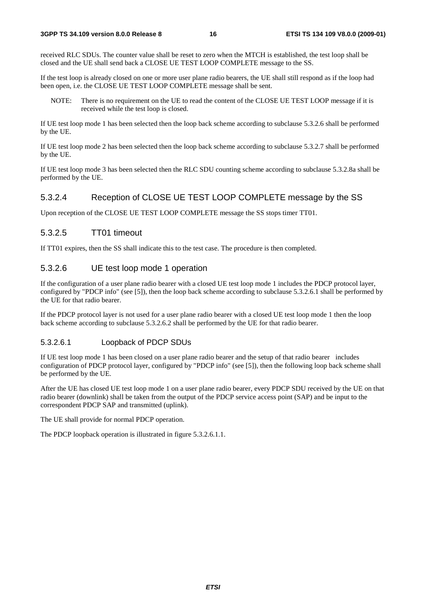received RLC SDUs. The counter value shall be reset to zero when the MTCH is established, the test loop shall be closed and the UE shall send back a CLOSE UE TEST LOOP COMPLETE message to the SS.

If the test loop is already closed on one or more user plane radio bearers, the UE shall still respond as if the loop had been open, i.e. the CLOSE UE TEST LOOP COMPLETE message shall be sent.

NOTE: There is no requirement on the UE to read the content of the CLOSE UE TEST LOOP message if it is received while the test loop is closed.

If UE test loop mode 1 has been selected then the loop back scheme according to subclause 5.3.2.6 shall be performed by the UE.

If UE test loop mode 2 has been selected then the loop back scheme according to subclause 5.3.2.7 shall be performed by the UE.

If UE test loop mode 3 has been selected then the RLC SDU counting scheme according to subclause 5.3.2.8a shall be performed by the UE.

#### 5.3.2.4 Reception of CLOSE UE TEST LOOP COMPLETE message by the SS

Upon reception of the CLOSE UE TEST LOOP COMPLETE message the SS stops timer TT01.

#### 5.3.2.5 TT01 timeout

If TT01 expires, then the SS shall indicate this to the test case. The procedure is then completed.

#### 5.3.2.6 UE test loop mode 1 operation

If the configuration of a user plane radio bearer with a closed UE test loop mode 1 includes the PDCP protocol layer, configured by "PDCP info" (see [5]), then the loop back scheme according to subclause 5.3.2.6.1 shall be performed by the UE for that radio bearer.

If the PDCP protocol layer is not used for a user plane radio bearer with a closed UE test loop mode 1 then the loop back scheme according to subclause 5.3.2.6.2 shall be performed by the UE for that radio bearer.

### 5.3.2.6.1 Loopback of PDCP SDUs

If UE test loop mode 1 has been closed on a user plane radio bearer and the setup of that radio bearer includes configuration of PDCP protocol layer, configured by "PDCP info" (see [5]), then the following loop back scheme shall be performed by the UE.

After the UE has closed UE test loop mode 1 on a user plane radio bearer, every PDCP SDU received by the UE on that radio bearer (downlink) shall be taken from the output of the PDCP service access point (SAP) and be input to the correspondent PDCP SAP and transmitted (uplink).

The UE shall provide for normal PDCP operation.

The PDCP loopback operation is illustrated in figure 5.3.2.6.1.1.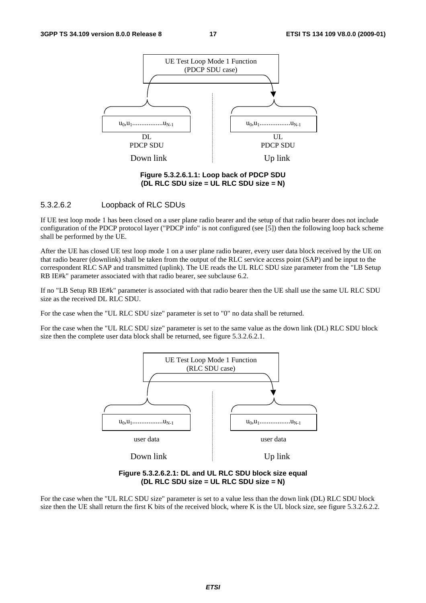

**Figure 5.3.2.6.1.1: Loop back of PDCP SDU (DL RLC SDU size = UL RLC SDU size = N)** 

#### 5.3.2.6.2 Loopback of RLC SDUs

If UE test loop mode 1 has been closed on a user plane radio bearer and the setup of that radio bearer does not include configuration of the PDCP protocol layer ("PDCP info" is not configured (see [5]) then the following loop back scheme shall be performed by the UE.

After the UE has closed UE test loop mode 1 on a user plane radio bearer, every user data block received by the UE on that radio bearer (downlink) shall be taken from the output of the RLC service access point (SAP) and be input to the correspondent RLC SAP and transmitted (uplink). The UE reads the UL RLC SDU size parameter from the "LB Setup RB IE#k" parameter associated with that radio bearer, see subclause 6.2.

If no "LB Setup RB IE#k" parameter is associated with that radio bearer then the UE shall use the same UL RLC SDU size as the received DL RLC SDU.

For the case when the "UL RLC SDU size" parameter is set to "0" no data shall be returned.

For the case when the "UL RLC SDU size" parameter is set to the same value as the down link (DL) RLC SDU block size then the complete user data block shall be returned, see figure 5.3.2.6.2.1.



**Figure 5.3.2.6.2.1: DL and UL RLC SDU block size equal (DL RLC SDU size = UL RLC SDU size = N)** 

For the case when the "UL RLC SDU size" parameter is set to a value less than the down link (DL) RLC SDU block size then the UE shall return the first K bits of the received block, where K is the UL block size, see figure 5.3.2.6.2.2.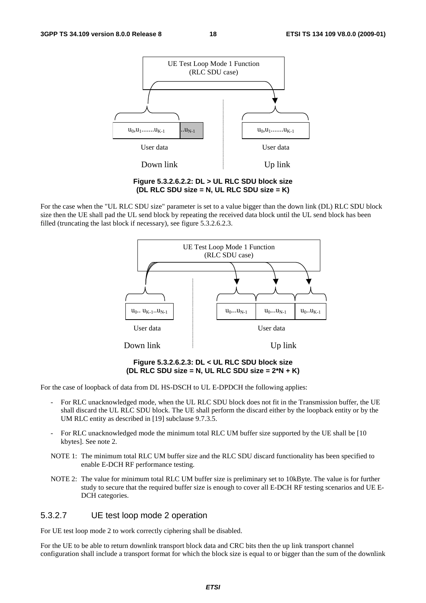

**Figure 5.3.2.6.2.2: DL > UL RLC SDU block size (DL RLC SDU size = N, UL RLC SDU size = K)** 

For the case when the "UL RLC SDU size" parameter is set to a value bigger than the down link (DL) RLC SDU block size then the UE shall pad the UL send block by repeating the received data block until the UL send block has been filled (truncating the last block if necessary), see figure 5.3.2.6.2.3.



**Figure 5.3.2.6.2.3: DL < UL RLC SDU block size (DL RLC SDU size = N, UL RLC SDU size = 2\*N + K)** 

For the case of loopback of data from DL HS-DSCH to UL E-DPDCH the following applies:

- For RLC unacknowledged mode, when the UL RLC SDU block does not fit in the Transmission buffer, the UE shall discard the UL RLC SDU block. The UE shall perform the discard either by the loopback entity or by the UM RLC entity as described in [19] subclause 9.7.3.5.
- For RLC unacknowledged mode the minimum total RLC UM buffer size supported by the UE shall be [10 kbytes]. See note 2.
- NOTE 1: The minimum total RLC UM buffer size and the RLC SDU discard functionality has been specified to enable E-DCH RF performance testing.
- NOTE 2: The value for minimum total RLC UM buffer size is preliminary set to 10kByte. The value is for further study to secure that the required buffer size is enough to cover all E-DCH RF testing scenarios and UE E-DCH categories.

#### 5.3.2.7 UE test loop mode 2 operation

For UE test loop mode 2 to work correctly ciphering shall be disabled.

For the UE to be able to return downlink transport block data and CRC bits then the up link transport channel configuration shall include a transport format for which the block size is equal to or bigger than the sum of the downlink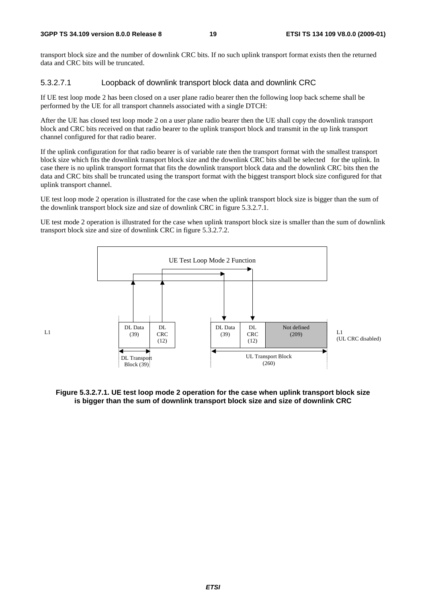transport block size and the number of downlink CRC bits. If no such uplink transport format exists then the returned data and CRC bits will be truncated.

### 5.3.2.7.1 Loopback of downlink transport block data and downlink CRC

If UE test loop mode 2 has been closed on a user plane radio bearer then the following loop back scheme shall be performed by the UE for all transport channels associated with a single DTCH:

After the UE has closed test loop mode 2 on a user plane radio bearer then the UE shall copy the downlink transport block and CRC bits received on that radio bearer to the uplink transport block and transmit in the up link transport channel configured for that radio bearer.

If the uplink configuration for that radio bearer is of variable rate then the transport format with the smallest transport block size which fits the downlink transport block size and the downlink CRC bits shall be selected for the uplink. In case there is no uplink transport format that fits the downlink transport block data and the downlink CRC bits then the data and CRC bits shall be truncated using the transport format with the biggest transport block size configured for that uplink transport channel.

UE test loop mode 2 operation is illustrated for the case when the uplink transport block size is bigger than the sum of the downlink transport block size and size of downlink CRC in figure 5.3.2.7.1.

UE test mode 2 operation is illustrated for the case when uplink transport block size is smaller than the sum of downlink transport block size and size of downlink CRC in figure 5.3.2.7.2.



 $L1$ 

**Figure 5.3.2.7.1. UE test loop mode 2 operation for the case when uplink transport block size is bigger than the sum of downlink transport block size and size of downlink CRC**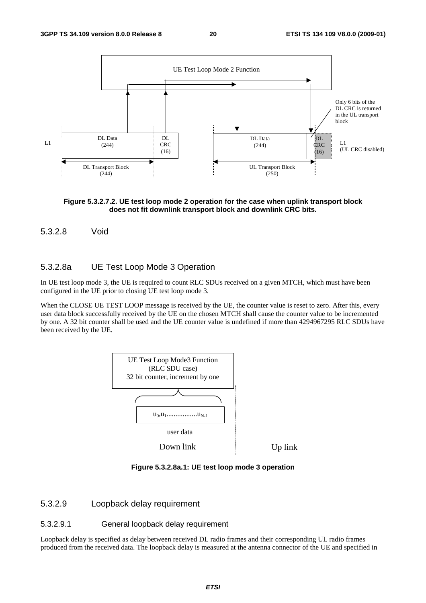

#### **Figure 5.3.2.7.2. UE test loop mode 2 operation for the case when uplink transport block does not fit downlink transport block and downlink CRC bits.**

#### 5.3.2.8 Void

#### 5.3.2.8a UE Test Loop Mode 3 Operation

In UE test loop mode 3, the UE is required to count RLC SDUs received on a given MTCH, which must have been configured in the UE prior to closing UE test loop mode 3.

When the CLOSE UE TEST LOOP message is received by the UE, the counter value is reset to zero. After this, every user data block successfully received by the UE on the chosen MTCH shall cause the counter value to be incremented by one. A 32 bit counter shall be used and the UE counter value is undefined if more than 4294967295 RLC SDUs have been received by the UE.



**Figure 5.3.2.8a.1: UE test loop mode 3 operation** 

#### 5.3.2.9 Loopback delay requirement

#### 5.3.2.9.1 General loopback delay requirement

Loopback delay is specified as delay between received DL radio frames and their corresponding UL radio frames produced from the received data. The loopback delay is measured at the antenna connector of the UE and specified in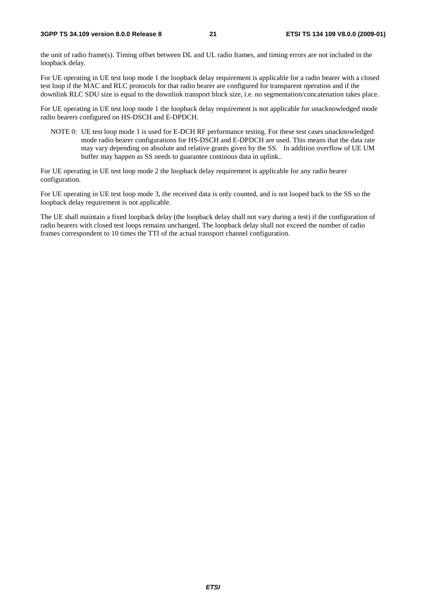the unit of radio frame(s). Timing offset between DL and UL radio frames, and timing errors are not included in the loopback delay.

For UE operating in UE test loop mode 1 the loopback delay requirement is applicable for a radio bearer with a closed test loop if the MAC and RLC protocols for that radio bearer are configured for transparent operation and if the downlink RLC SDU size is equal to the downlink transport block size, i.e. no segmentation/concatenation takes place.

For UE operating in UE test loop mode 1 the loopback delay requirement is not applicable for unacknowledged mode radio bearers configured on HS-DSCH and E-DPDCH.

NOTE 0: UE test loop mode 1 is used for E-DCH RF performance testing. For these test cases unacknowledged mode radio bearer configurations for HS-DSCH and E-DPDCH are used. This means that the data rate may vary depending on absolute and relative grants given by the SS. In addition overflow of UE UM buffer may happen as SS needs to guarantee continous data in uplink..

For UE operating in UE test loop mode 2 the loopback delay requirement is applicable for any radio bearer configuration.

For UE operating in UE test loop mode 3, the received data is only counted, and is not looped back to the SS so the loopback delay requirement is not applicable.

The UE shall maintain a fixed loopback delay (the loopback delay shall not vary during a test) if the configuration of radio bearers with closed test loops remains unchanged. The loopback delay shall not exceed the number of radio frames correspondent to 10 times the TTI of the actual transport channel configuration.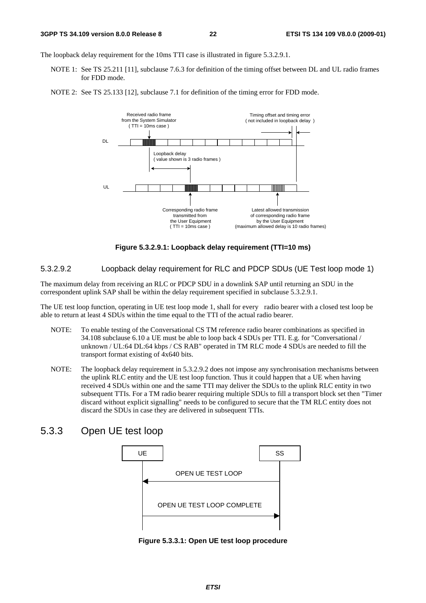The loopback delay requirement for the 10ms TTI case is illustrated in figure 5.3.2.9.1.

- NOTE 1: See TS 25.211 [11], subclause 7.6.3 for definition of the timing offset between DL and UL radio frames for FDD mode.
- NOTE 2: See TS 25.133 [12], subclause 7.1 for definition of the timing error for FDD mode.



**Figure 5.3.2.9.1: Loopback delay requirement (TTI=10 ms)** 

5.3.2.9.2 Loopback delay requirement for RLC and PDCP SDUs (UE Test loop mode 1)

The maximum delay from receiving an RLC or PDCP SDU in a downlink SAP until returning an SDU in the correspondent uplink SAP shall be within the delay requirement specified in subclause 5.3.2.9.1.

The UE test loop function, operating in UE test loop mode 1, shall for every radio bearer with a closed test loop be able to return at least 4 SDUs within the time equal to the TTI of the actual radio bearer.

- NOTE: To enable testing of the Conversational CS TM reference radio bearer combinations as specified in 34.108 subclause 6.10 a UE must be able to loop back 4 SDUs per TTI. E.g. for "Conversational / unknown / UL:64 DL:64 kbps / CS RAB" operated in TM RLC mode 4 SDUs are needed to fill the transport format existing of 4x640 bits.
- NOTE: The loopback delay requirement in 5.3.2.9.2 does not impose any synchronisation mechanisms between the uplink RLC entity and the UE test loop function. Thus it could happen that a UE when having received 4 SDUs within one and the same TTI may deliver the SDUs to the uplink RLC entity in two subsequent TTIs. For a TM radio bearer requiring multiple SDUs to fill a transport block set then "Timer discard without explicit signalling" needs to be configured to secure that the TM RLC entity does not discard the SDUs in case they are delivered in subsequent TTIs.

### 5.3.3 Open UE test loop



**Figure 5.3.3.1: Open UE test loop procedure**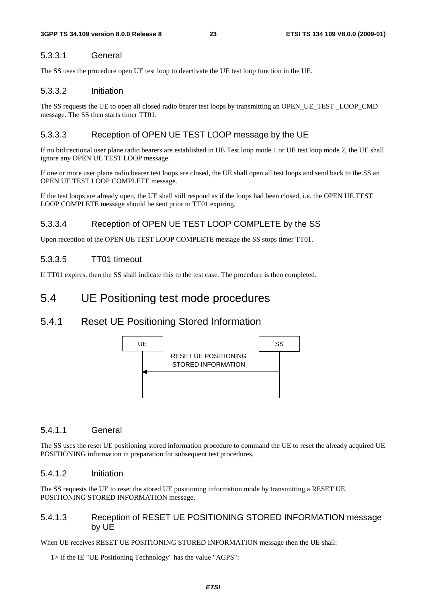### 5.3.3.1 General

The SS uses the procedure open UE test loop to deactivate the UE test loop function in the UE.

#### 5.3.3.2 Initiation

The SS requests the UE to open all closed radio bearer test loops by transmitting an OPEN\_UE\_TEST \_LOOP\_CMD message. The SS then starts timer TT01.

### 5.3.3.3 Reception of OPEN UE TEST LOOP message by the UE

If no bidirectional user plane radio bearers are established in UE Test loop mode 1 or UE test loop mode 2, the UE shall ignore any OPEN UE TEST LOOP message.

If one or more user plane radio bearer test loops are closed, the UE shall open all test loops and send back to the SS an OPEN UE TEST LOOP COMPLETE message.

If the test loops are already open, the UE shall still respond as if the loops had been closed, i.e. the OPEN UE TEST LOOP COMPLETE message should be sent prior to TT01 expiring.

### 5.3.3.4 Reception of OPEN UE TEST LOOP COMPLETE by the SS

Upon reception of the OPEN UE TEST LOOP COMPLETE message the SS stops timer TT01.

### 5.3.3.5 TT01 timeout

If TT01 expires, then the SS shall indicate this to the test case. The procedure is then completed.

### 5.4 UE Positioning test mode procedures

### 5.4.1 Reset UE Positioning Stored Information



#### 5.4.1.1 General

The SS uses the reset UE positioning stored information procedure to command the UE to reset the already acquired UE POSITIONING information in preparation for subsequent test procedures.

#### 5.4.1.2 Initiation

The SS requests the UE to reset the stored UE positioning information mode by transmitting a RESET UE POSITIONING STORED INFORMATION message.

### 5.4.1.3 Reception of RESET UE POSITIONING STORED INFORMATION message by UE

When UE receives RESET UE POSITIONING STORED INFORMATION message then the UE shall:

1> if the IE "UE Positioning Technology" has the value "AGPS":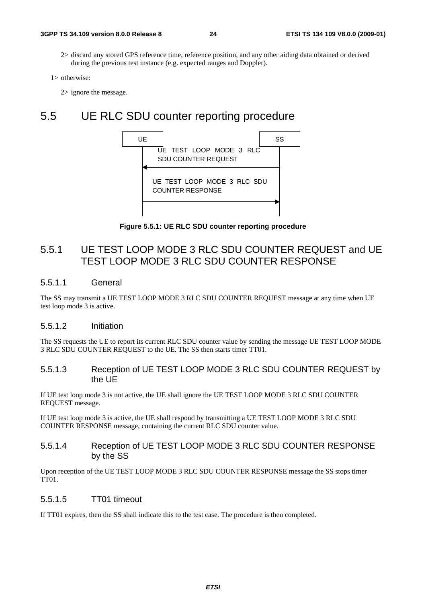2> discard any stored GPS reference time, reference position, and any other aiding data obtained or derived during the previous test instance (e.g. expected ranges and Doppler).

```
1> otherwise:
```
2> ignore the message.

### 5.5 UE RLC SDU counter reporting procedure



**Figure 5.5.1: UE RLC SDU counter reporting procedure** 

### 5.5.1 UE TEST LOOP MODE 3 RLC SDU COUNTER REQUEST and UE TEST LOOP MODE 3 RLC SDU COUNTER RESPONSE

#### 5.5.1.1 General

The SS may transmit a UE TEST LOOP MODE 3 RLC SDU COUNTER REQUEST message at any time when UE test loop mode 3 is active.

#### 5.5.1.2 Initiation

The SS requests the UE to report its current RLC SDU counter value by sending the message UE TEST LOOP MODE 3 RLC SDU COUNTER REQUEST to the UE. The SS then starts timer TT01.

#### 5.5.1.3 Reception of UE TEST LOOP MODE 3 RLC SDU COUNTER REQUEST by the UE

If UE test loop mode 3 is not active, the UE shall ignore the UE TEST LOOP MODE 3 RLC SDU COUNTER REQUEST message.

If UE test loop mode 3 is active, the UE shall respond by transmitting a UE TEST LOOP MODE 3 RLC SDU COUNTER RESPONSE message, containing the current RLC SDU counter value.

#### 5.5.1.4 Reception of UE TEST LOOP MODE 3 RLC SDU COUNTER RESPONSE by the SS

Upon reception of the UE TEST LOOP MODE 3 RLC SDU COUNTER RESPONSE message the SS stops timer TT01.

#### 5.5.1.5 TT01 timeout

If TT01 expires, then the SS shall indicate this to the test case. The procedure is then completed.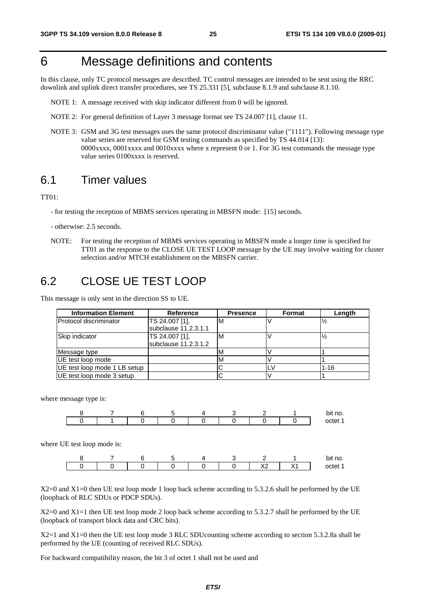# 6 Message definitions and contents

In this clause, only TC protocol messages are described. TC control messages are intended to be sent using the RRC downlink and uplink direct transfer procedures, see TS 25.331 [5], subclause 8.1.9 and subclause 8.1.10.

- NOTE 1: A message received with skip indicator different from 0 will be ignored.
- NOTE 2: For general definition of Layer 3 message format see TS 24.007 [1], clause 11.
- NOTE 3: GSM and 3G test messages uses the same protocol discriminator value ("1111"). Following message type value series are reserved for GSM testing commands as specified by TS 44.014 [13]: 0000xxxx, 0001xxxx and 0010xxxx where x represent 0 or 1. For 3G test commands the message type value series 0100xxxx is reserved.

### 6.1 Timer values

TT01:

- for testing the reception of MBMS services operating in MBSFN mode: [15] seconds.
- otherwise: 2.5 seconds.
- NOTE: For testing the reception of MBMS services operating in MBSFN mode a longer time is specified for TT01 as the response to the CLOSE UE TEST LOOP message by the UE may involve waiting for cluster selection and/or MTCH establishment on the MBSFN carrier.

### 6.2 CLOSE UE TEST LOOP

This message is only sent in the direction SS to UE.

| <b>Information Element</b>   | <b>Reference</b>                       | <b>Presence</b> | <b>Format</b> | Length        |
|------------------------------|----------------------------------------|-----------------|---------------|---------------|
| Protocol discriminator       | TS 24.007 [1],<br>subclause 11.2.3.1.1 | ιM              |               | $\frac{1}{2}$ |
| Skip indicator               | TS 24.007 [1],<br>subclause 11.2.3.1.2 | ιM              |               | $\frac{1}{2}$ |
| Message type                 |                                        | M               |               |               |
| IUE test loop mode           |                                        | ΙM              |               |               |
| UE test loop mode 1 LB setup |                                        |                 |               | $1 - 16$      |
| UE test loop mode 3 setup    |                                        |                 |               |               |

where message type is:



where UE test loop mode is:



X2=0 and X1=0 then UE test loop mode 1 loop back scheme according to 5.3.2.6 shall be performed by the UE (loopback of RLC SDUs or PDCP SDUs).

X2=0 and X1=1 then UE test loop mode 2 loop back scheme according to 5.3.2.7 shall be performed by the UE (loopback of transport block data and CRC bits).

X2=1 and X1=0 then the UE test loop mode 3 RLC SDUcounting scheme according to section 5.3.2.8a shall be performed by the UE (counting of received RLC SDUs).

For backward compatibility reason, the bit 3 of octet 1 shall not be used and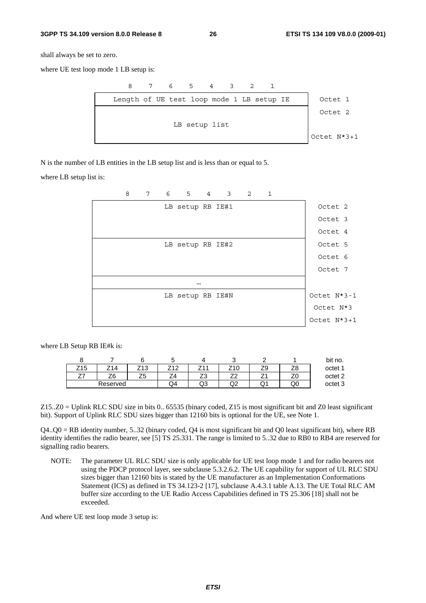#### **3GPP TS 34.109 version 8.0.0 Release 8 26 ETSI TS 134 109 V8.0.0 (2009-01)**

shall always be set to zero.

where UE test loop mode 1 LB setup is:



N is the number of LB entities in the LB setup list and is less than or equal to 5.

where LB setup list is:



where LB Setup RB IE#k is:

|     |          |              |                           |                                |         |   |    | bit no. |
|-----|----------|--------------|---------------------------|--------------------------------|---------|---|----|---------|
| Z15 | 74<br>Δ  | 74 2<br>ں اے | 740                       | 744<br><u>.</u>                | u<br>∼  | ت |    | octet 1 |
| _ _ | Z6       | --<br>້      | -<br>$\overline{ }$<br>∸− | $\overline{\phantom{a}}$<br>ںے | →<br>▃▃ |   | ∠∪ | octet 2 |
|     | Reserved |              | Q4                        | ∩ว<br>ں ی                      | n.<br>w | w | QÙ | octet 3 |

Z15..Z0 = Uplink RLC SDU size in bits 0.. 65535 (binary coded, Z15 is most significant bit and Z0 least significant bit). Support of Uplink RLC SDU sizes bigger than 12160 bits is optional for the UE, see Note 1.

 $Q4.00 = RB$  identity number, 5..32 (binary coded,  $Q4$  is most significant bit and  $Q0$  least significant bit), where RB identity identifies the radio bearer, see [5] TS 25.331. The range is limited to 5..32 due to RB0 to RB4 are reserved for signalling radio bearers.

NOTE: The parameter UL RLC SDU size is only applicable for UE test loop mode 1 and for radio bearers not using the PDCP protocol layer, see subclause 5.3.2.6.2. The UE capability for support of UL RLC SDU sizes bigger than 12160 bits is stated by the UE manufacturer as an Implementation Conformations Statement (ICS) as defined in TS 34.123-2 [17], subclause A.4.3.1 table A.13. The UE Total RLC AM buffer size according to the UE Radio Access Capabilities defined in TS 25.306 [18] shall not be exceeded.

And where UE test loop mode 3 setup is: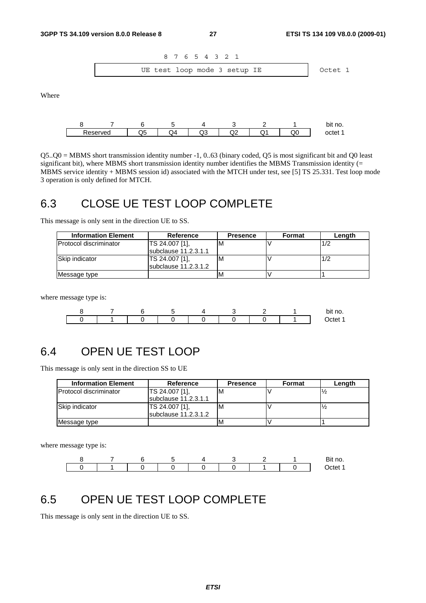

Where



Q5..Q0 = MBMS short transmission identity number -1, 0..63 (binary coded, Q5 is most significant bit and Q0 least significant bit), where MBMS short transmission identity number identifies the MBMS Transmission identity (= MBMS service identity + MBMS session id) associated with the MTCH under test, see [5] TS 25.331. Test loop mode 3 operation is only defined for MTCH.

### 6.3 CLOSE UE TEST LOOP COMPLETE

This message is only sent in the direction UE to SS.

| <b>Information Element</b>    | Reference            | <b>Presence</b> | Format | Lenath |
|-------------------------------|----------------------|-----------------|--------|--------|
| <b>Protocol discriminator</b> | TS 24.007 [1].       | ιM              |        | 1/2    |
|                               | subclause 11.2.3.1.1 |                 |        |        |
| <b>Skip indicator</b>         | TS 24.007 [1],       | M               |        | 1/2    |
|                               | subclause 11.2.3.1.2 |                 |        |        |
| Message type                  |                      | M               |        |        |

where message type is:



### 6.4 OPEN UE TEST LOOP

This message is only sent in the direction SS to UE

| <b>Information Element</b>     | Reference                              | <b>Presence</b> | Format | Length |
|--------------------------------|----------------------------------------|-----------------|--------|--------|
| <b>IProtocol discriminator</b> | TS 24.007 [1].<br>subclause 11.2.3.1.1 | M               |        |        |
| Skip indicator                 | TS 24.007 [1],<br>subclause 11.2.3.1.2 | M               |        |        |
| Message type                   |                                        |                 |        |        |

where message type is:

|  |  |  |  | Bit no. |
|--|--|--|--|---------|
|  |  |  |  |         |

### 6.5 OPEN UE TEST LOOP COMPLETE

This message is only sent in the direction UE to SS.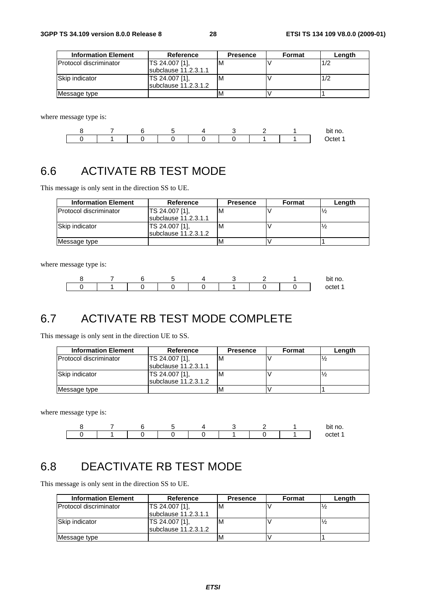| <b>Information Element</b> | Reference              | <b>Presence</b> | Format | Length |
|----------------------------|------------------------|-----------------|--------|--------|
| IProtocol discriminator    | TS 24.007 [1].         |                 |        | 1/2    |
|                            | subclause 11.2.3.1.1   |                 |        |        |
| Skip indicator             | TS 24.007 [1],         | м               |        | 1/2    |
|                            | subclause $11.2.3.1.2$ |                 |        |        |
| Message type               |                        | M               |        |        |

where message type is:



# 6.6 ACTIVATE RB TEST MODE

This message is only sent in the direction SS to UE.

| <b>Information Element</b>     | Reference                              | <b>Presence</b> | Format | Length |
|--------------------------------|----------------------------------------|-----------------|--------|--------|
| <b>IProtocol discriminator</b> | TS 24.007 [1].<br>subclause 11.2.3.1.1 | ιM              |        |        |
| Skip indicator                 | TS 24.007 [1].<br>subclause 11.2.3.1.2 | ιM              |        |        |
| Message type                   |                                        | IV              |        |        |

where message type is:



## 6.7 ACTIVATE RB TEST MODE COMPLETE

This message is only sent in the direction UE to SS.

| <b>Information Element</b>    | Reference              | <b>Presence</b> | Format | Length |
|-------------------------------|------------------------|-----------------|--------|--------|
| <b>Protocol discriminator</b> | TS 24.007 [1],         | ιM              |        |        |
|                               | subclause 11.2.3.1.1   |                 |        |        |
| Skip indicator                | TS 24.007 [1].         | ιM              |        |        |
|                               | subclause $11.2.3.1.2$ |                 |        |        |
| Message type                  |                        | ΙM              |        |        |

where message type is:



### 6.8 DEACTIVATE RB TEST MODE

This message is only sent in the direction SS to UE.

| <b>Information Element</b>     | Reference            | <b>Presence</b> | Format | Length |
|--------------------------------|----------------------|-----------------|--------|--------|
| <b>IProtocol discriminator</b> | TS 24.007 [1],       | ΙM              |        |        |
|                                | subclause 11.2.3.1.1 |                 |        |        |
| Skip indicator                 | TS 24.007 [1],       | ΙM              |        |        |
|                                | subclause 11.2.3.1.2 |                 |        |        |
| Message type                   |                      |                 |        |        |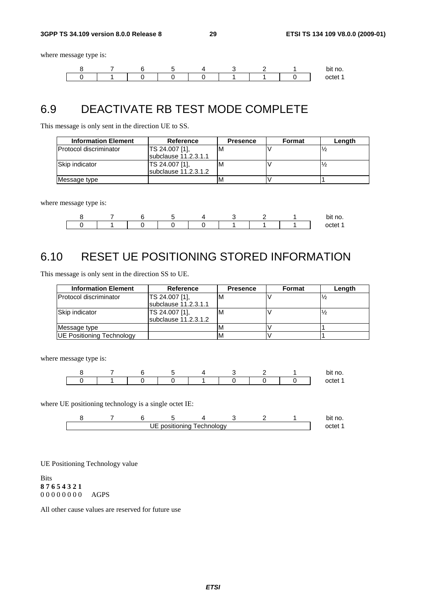where message type is:



### 6.9 DEACTIVATE RB TEST MODE COMPLETE

This message is only sent in the direction UE to SS.

| <b>Information Element</b>    | Reference                    | <b>Presence</b> | Format | Lenath |
|-------------------------------|------------------------------|-----------------|--------|--------|
| <b>Protocol discriminator</b> | TS 24.007 [1].               |                 |        |        |
|                               | subclause 11.2.3.1.1         |                 |        |        |
| Skip indicator                | TS 24.007 [1],               | ΙM              |        |        |
|                               | <b>Isubclause 11.2.3.1.2</b> |                 |        |        |
| Message type                  |                              |                 |        |        |

where message type is:

|  |  |  |  | bit no.  |
|--|--|--|--|----------|
|  |  |  |  | net<br>m |

# 6.10 RESET UE POSITIONING STORED INFORMATION

This message is only sent in the direction SS to UE.

| <b>Information Element</b>       | Reference                              | <b>Presence</b> | Format | Length |
|----------------------------------|----------------------------------------|-----------------|--------|--------|
| <b>Protocol discriminator</b>    | TS 24.007 [1],<br>subclause 11.2.3.1.1 | ιM              |        |        |
| Skip indicator                   | TS 24.007 [1],<br>subclause 11.2.3.1.2 | ιM              |        |        |
| Message type                     |                                        | M               |        |        |
| <b>UE Positioning Technology</b> |                                        | M               |        |        |

where message type is:

|  |  |  |  | bit no. |
|--|--|--|--|---------|
|  |  |  |  | റ്റ     |

where UE positioning technology is a single octet IE:

|  |    |             |             |  | bit no. |
|--|----|-------------|-------------|--|---------|
|  | JE | positioning | l echnoloav |  | ncte    |

UE Positioning Technology value

Bits **8 7 6 5 4 3 2 1** 0 0 0 0 0 0 0 0 AGPS

All other cause values are reserved for future use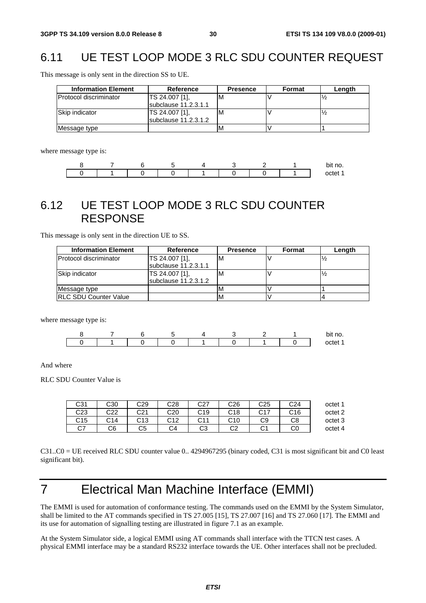# 6.11 UE TEST LOOP MODE 3 RLC SDU COUNTER REQUEST

This message is only sent in the direction SS to UE.

| <b>Information Element</b>    | <b>Reference</b>     | <b>Presence</b> | Format | Length |
|-------------------------------|----------------------|-----------------|--------|--------|
| <b>Protocol discriminator</b> | TS 24.007 [1],       | ΙM              |        |        |
|                               | subclause 11.2.3.1.1 |                 |        |        |
| Skip indicator                | TS 24.007 [1].       | M               |        |        |
|                               | subclause 11.2.3.1.2 |                 |        |        |
| Message type                  |                      | 'M              |        |        |

where message type is:

|  |  |  |  | ^^<br>ιv.<br>້ |
|--|--|--|--|----------------|
|  |  |  |  |                |

### 6.12 UE TEST LOOP MODE 3 RLC SDU COUNTER RESPONSE

This message is only sent in the direction UE to SS.

| <b>Information Element</b>    | Reference                              | <b>Presence</b> | Format | Length |
|-------------------------------|----------------------------------------|-----------------|--------|--------|
| <b>Protocol discriminator</b> | TS 24.007 [1].<br>subclause 11.2.3.1.1 | ιM              |        |        |
| Skip indicator                | TS 24.007 [1].<br>subclause 11.2.3.1.2 | ΙM              |        |        |
| Message type                  |                                        |                 |        |        |
| <b>IRLC SDU Counter Value</b> |                                        | M               |        |        |

where message type is:

|  |  |  |  | bit no.        |
|--|--|--|--|----------------|
|  |  |  |  | $\Omega$<br>гΩ |

And where

RLC SDU Counter Value is

| octet 1 | C <sub>24</sub> | C <sub>25</sub> | C26        | <b>CO7</b><br>، ےب | C28        | C29               | C30 | C31 |
|---------|-----------------|-----------------|------------|--------------------|------------|-------------------|-----|-----|
| octet 2 | C16             | $\sim$ 17       | C18<br>ັບເ | C19                | C20        | C21               | C22 | C23 |
| octet 3 | C8              | C9              | C10        | <b>CAA</b><br>◡╷   | <b>C10</b> | <b>C12</b><br>ں ر | C14 | C15 |
| octet 4 | CО              | ົ<br>◡          | ⌒∩<br>◡∠   | ∼<br>w             | ົ<br>-4    | C5                | C6  | C7  |

C31..C0 = UE received RLC SDU counter value 0.. 4294967295 (binary coded, C31 is most significant bit and C0 least significant bit).

# 7 Electrical Man Machine Interface (EMMI)

The EMMI is used for automation of conformance testing. The commands used on the EMMI by the System Simulator, shall be limited to the AT commands specified in TS 27.005 [15], TS 27.007 [16] and TS 27.060 [17]. The EMMI and its use for automation of signalling testing are illustrated in figure 7.1 as an example.

At the System Simulator side, a logical EMMI using AT commands shall interface with the TTCN test cases. A physical EMMI interface may be a standard RS232 interface towards the UE. Other interfaces shall not be precluded.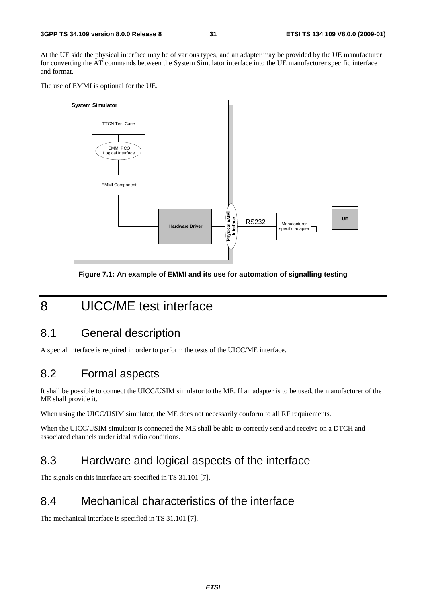At the UE side the physical interface may be of various types, and an adapter may be provided by the UE manufacturer for converting the AT commands between the System Simulator interface into the UE manufacturer specific interface and format.

The use of EMMI is optional for the UE.



**Figure 7.1: An example of EMMI and its use for automation of signalling testing** 

# 8 UICC/ME test interface

### 8.1 General description

A special interface is required in order to perform the tests of the UICC/ME interface.

### 8.2 Formal aspects

It shall be possible to connect the UICC/USIM simulator to the ME. If an adapter is to be used, the manufacturer of the ME shall provide it.

When using the UICC/USIM simulator, the ME does not necessarily conform to all RF requirements.

When the UICC/USIM simulator is connected the ME shall be able to correctly send and receive on a DTCH and associated channels under ideal radio conditions.

### 8.3 Hardware and logical aspects of the interface

The signals on this interface are specified in TS 31.101 [7].

### 8.4 Mechanical characteristics of the interface

The mechanical interface is specified in TS 31.101 [7].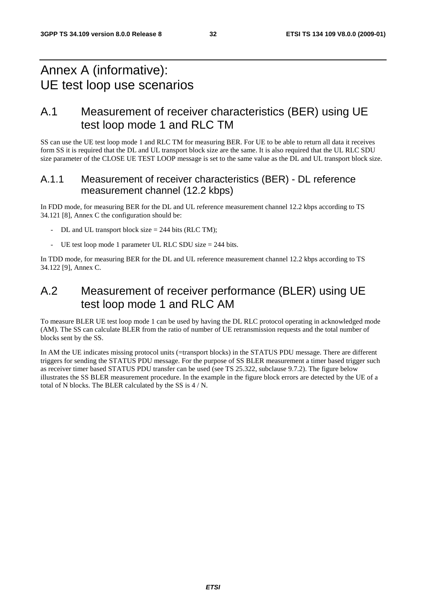# Annex A (informative): UE test loop use scenarios

### A.1 Measurement of receiver characteristics (BER) using UE test loop mode 1 and RLC TM

SS can use the UE test loop mode 1 and RLC TM for measuring BER. For UE to be able to return all data it receives form SS it is required that the DL and UL transport block size are the same. It is also required that the UL RLC SDU size parameter of the CLOSE UE TEST LOOP message is set to the same value as the DL and UL transport block size.

### A.1.1 Measurement of receiver characteristics (BER) - DL reference measurement channel (12.2 kbps)

In FDD mode, for measuring BER for the DL and UL reference measurement channel 12.2 kbps according to TS 34.121 [8], Annex C the configuration should be:

- $DL$  and UL transport block size = 244 bits (RLC TM);
- UE test loop mode 1 parameter UL RLC SDU size = 244 bits.

In TDD mode, for measuring BER for the DL and UL reference measurement channel 12.2 kbps according to TS 34.122 [9], Annex C.

## A.2 Measurement of receiver performance (BLER) using UE test loop mode 1 and RLC AM

To measure BLER UE test loop mode 1 can be used by having the DL RLC protocol operating in acknowledged mode (AM). The SS can calculate BLER from the ratio of number of UE retransmission requests and the total number of blocks sent by the SS.

In AM the UE indicates missing protocol units (=transport blocks) in the STATUS PDU message. There are different triggers for sending the STATUS PDU message. For the purpose of SS BLER measurement a timer based trigger such as receiver timer based STATUS PDU transfer can be used (see TS 25.322, subclause 9.7.2). The figure below illustrates the SS BLER measurement procedure. In the example in the figure block errors are detected by the UE of a total of N blocks. The BLER calculated by the SS is 4 / N.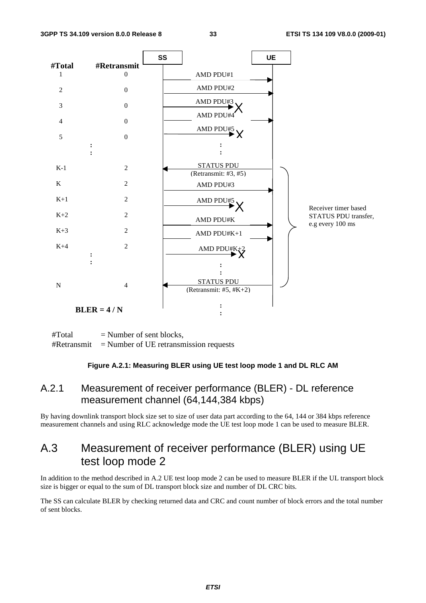

 $#Total$  = Number of sent blocks,  $#Retransmit$  = Number of UE retransmission requests

#### **Figure A.2.1: Measuring BLER using UE test loop mode 1 and DL RLC AM**

### A.2.1 Measurement of receiver performance (BLER) - DL reference measurement channel (64,144,384 kbps)

By having downlink transport block size set to size of user data part according to the 64, 144 or 384 kbps reference measurement channels and using RLC acknowledge mode the UE test loop mode 1 can be used to measure BLER.

### A.3 Measurement of receiver performance (BLER) using UE test loop mode 2

In addition to the method described in A.2 UE test loop mode 2 can be used to measure BLER if the UL transport block size is bigger or equal to the sum of DL transport block size and number of DL CRC bits.

The SS can calculate BLER by checking returned data and CRC and count number of block errors and the total number of sent blocks.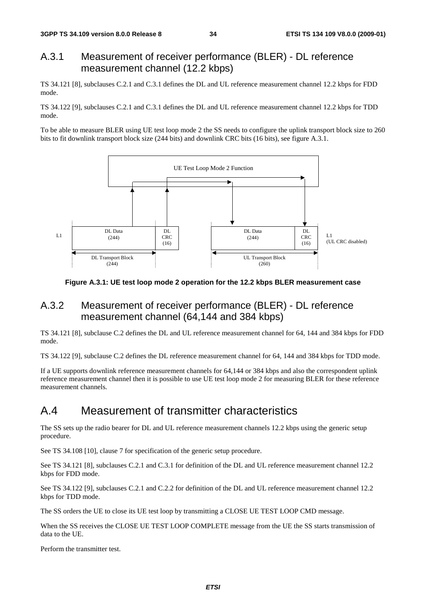### A.3.1 Measurement of receiver performance (BLER) - DL reference measurement channel (12.2 kbps)

TS 34.121 [8], subclauses C.2.1 and C.3.1 defines the DL and UL reference measurement channel 12.2 kbps for FDD mode.

TS 34.122 [9], subclauses C.2.1 and C.3.1 defines the DL and UL reference measurement channel 12.2 kbps for TDD mode.

To be able to measure BLER using UE test loop mode 2 the SS needs to configure the uplink transport block size to 260 bits to fit downlink transport block size (244 bits) and downlink CRC bits (16 bits), see figure A.3.1.



**Figure A.3.1: UE test loop mode 2 operation for the 12.2 kbps BLER measurement case** 

### A.3.2 Measurement of receiver performance (BLER) - DL reference measurement channel (64,144 and 384 kbps)

TS 34.121 [8], subclause C.2 defines the DL and UL reference measurement channel for 64, 144 and 384 kbps for FDD mode.

TS 34.122 [9], subclause C.2 defines the DL reference measurement channel for 64, 144 and 384 kbps for TDD mode.

If a UE supports downlink reference measurement channels for 64,144 or 384 kbps and also the correspondent uplink reference measurement channel then it is possible to use UE test loop mode 2 for measuring BLER for these reference measurement channels.

### A.4 Measurement of transmitter characteristics

The SS sets up the radio bearer for DL and UL reference measurement channels 12.2 kbps using the generic setup procedure.

See TS 34.108 [10], clause 7 for specification of the generic setup procedure.

See TS 34.121 [8], subclauses C.2.1 and C.3.1 for definition of the DL and UL reference measurement channel 12.2 kbps for FDD mode.

See TS 34.122 [9], subclauses C.2.1 and C.2.2 for definition of the DL and UL reference measurement channel 12.2 kbps for TDD mode.

The SS orders the UE to close its UE test loop by transmitting a CLOSE UE TEST LOOP CMD message.

When the SS receives the CLOSE UE TEST LOOP COMPLETE message from the UE the SS starts transmission of data to the UE.

Perform the transmitter test.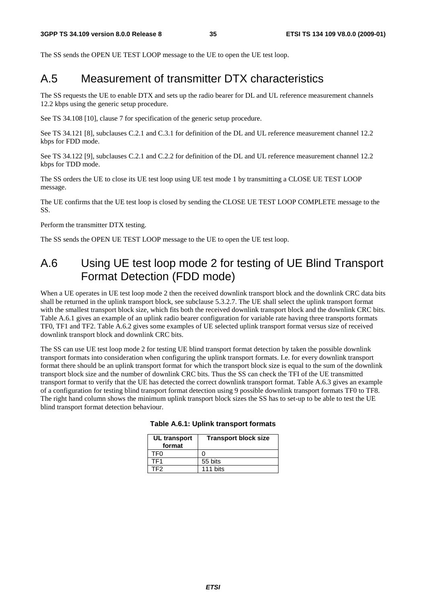The SS sends the OPEN UE TEST LOOP message to the UE to open the UE test loop.

### A.5 Measurement of transmitter DTX characteristics

The SS requests the UE to enable DTX and sets up the radio bearer for DL and UL reference measurement channels 12.2 kbps using the generic setup procedure.

See TS 34.108 [10], clause 7 for specification of the generic setup procedure.

See TS 34.121 [8], subclauses C.2.1 and C.3.1 for definition of the DL and UL reference measurement channel 12.2 kbps for FDD mode.

See TS 34.122 [9], subclauses C.2.1 and C.2.2 for definition of the DL and UL reference measurement channel 12.2 kbps for TDD mode.

The SS orders the UE to close its UE test loop using UE test mode 1 by transmitting a CLOSE UE TEST LOOP message.

The UE confirms that the UE test loop is closed by sending the CLOSE UE TEST LOOP COMPLETE message to the SS.

Perform the transmitter DTX testing.

The SS sends the OPEN UE TEST LOOP message to the UE to open the UE test loop.

### A.6 Using UE test loop mode 2 for testing of UE Blind Transport Format Detection (FDD mode)

When a UE operates in UE test loop mode 2 then the received downlink transport block and the downlink CRC data bits shall be returned in the uplink transport block, see subclause 5.3.2.7. The UE shall select the uplink transport format with the smallest transport block size, which fits both the received downlink transport block and the downlink CRC bits. Table A.6.1 gives an example of an uplink radio bearer configuration for variable rate having three transports formats TF0, TF1 and TF2. Table A.6.2 gives some examples of UE selected uplink transport format versus size of received downlink transport block and downlink CRC bits.

The SS can use UE test loop mode 2 for testing UE blind transport format detection by taken the possible downlink transport formats into consideration when configuring the uplink transport formats. I.e. for every downlink transport format there should be an uplink transport format for which the transport block size is equal to the sum of the downlink transport block size and the number of downlink CRC bits. Thus the SS can check the TFI of the UE transmitted transport format to verify that the UE has detected the correct downlink transport format. Table A.6.3 gives an example of a configuration for testing blind transport format detection using 9 possible downlink transport formats TF0 to TF8. The right hand column shows the minimum uplink transport block sizes the SS has to set-up to be able to test the UE blind transport format detection behaviour.

| UL transport<br>format | <b>Transport block size</b> |
|------------------------|-----------------------------|
| TFN                    |                             |
| TF1                    | 55 bits                     |
| TF2                    | 111 bits                    |

#### **Table A.6.1: Uplink transport formats**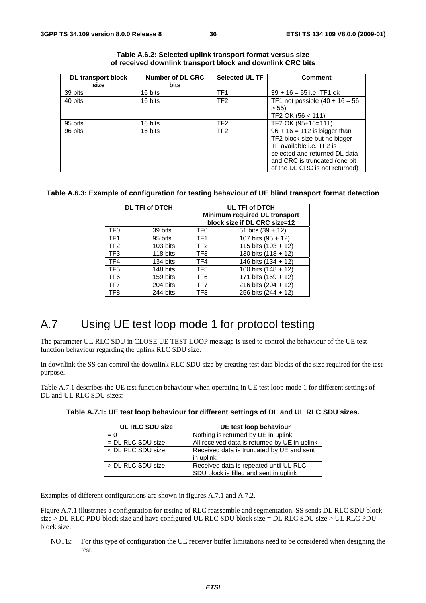| <b>DL</b> transport block | Number of DL CRC | <b>Selected UL TF</b> | <b>Comment</b>                    |
|---------------------------|------------------|-----------------------|-----------------------------------|
| size                      | <b>bits</b>      |                       |                                   |
| 39 bits                   | 16 bits          | TF <sub>1</sub>       | $39 + 16 = 55$ i.e. TF1 ok        |
| 40 bits                   | 16 bits          | TF <sub>2</sub>       | TF1 not possible $(40 + 16 = 56)$ |
|                           |                  |                       | > 55                              |
|                           |                  |                       | TF2 OK (56 < 111)                 |
| 95 bits                   | 16 bits          | TF <sub>2</sub>       | TF2 OK (95+16=111)                |
| 96 bits                   | 16 bits          | TF <sub>2</sub>       | $96 + 16 = 112$ is bigger than    |
|                           |                  |                       | TF2 block size but no bigger      |
|                           |                  |                       | TF available i.e. TF2 is          |
|                           |                  |                       | selected and returned DL data     |
|                           |                  |                       | and CRC is truncated (one bit     |
|                           |                  |                       | of the DL CRC is not returned)    |

| Table A.6.2: Selected uplink transport format versus size  |
|------------------------------------------------------------|
| of received downlink transport block and downlink CRC bits |

#### **Table A.6.3: Example of configuration for testing behaviour of UE blind transport format detection**

|                 | <b>DL TFI of DTCH</b> | UL TFI of DTCH<br>Minimum required UL transport<br>block size if DL CRC size=12 |                       |  |
|-----------------|-----------------------|---------------------------------------------------------------------------------|-----------------------|--|
| TF <sub>0</sub> | 39 bits               | TF <sub>0</sub>                                                                 | 51 bits $(39 + 12)$   |  |
| TF <sub>1</sub> | 95 bits               | TF <sub>1</sub>                                                                 | 107 bits $(95 + 12)$  |  |
| TF <sub>2</sub> | 103 bits              | TF <sub>2</sub>                                                                 | 115 bits $(103 + 12)$ |  |
| TF <sub>3</sub> | 118 bits              | TF3                                                                             | 130 bits $(118 + 12)$ |  |
| TF4             | 134 bits              | TF4                                                                             | 146 bits (134 + 12)   |  |
| TF <sub>5</sub> | 148 bits              | TF <sub>5</sub>                                                                 | 160 bits $(148 + 12)$ |  |
| TF <sub>6</sub> | 159 bits              | TF <sub>6</sub>                                                                 | 171 bits $(159 + 12)$ |  |
| TF7             | 204 bits              | TF7                                                                             | 216 bits $(204 + 12)$ |  |
| TF <sub>8</sub> | 244 bits              | TF8                                                                             | 256 bits (244 + 12)   |  |

### A.7 Using UE test loop mode 1 for protocol testing

The parameter UL RLC SDU in CLOSE UE TEST LOOP message is used to control the behaviour of the UE test function behaviour regarding the uplink RLC SDU size.

In downlink the SS can control the downlink RLC SDU size by creating test data blocks of the size required for the test purpose.

Table A.7.1 describes the UE test function behaviour when operating in UE test loop mode 1 for different settings of DL and UL RLC SDU sizes:

| <b>UL RLC SDU size</b> | UE test loop behaviour                                                           |
|------------------------|----------------------------------------------------------------------------------|
| $= 0$                  | Nothing is returned by UE in uplink                                              |
| $=$ DL RLC SDU size    | All received data is returned by UE in uplink                                    |
| < DL RLC SDU size      | Received data is truncated by UE and sent<br>in uplink                           |
| > DL RLC SDU size      | Received data is repeated until UL RLC<br>SDU block is filled and sent in uplink |

**Table A.7.1: UE test loop behaviour for different settings of DL and UL RLC SDU sizes.** 

Examples of different configurations are shown in figures A.7.1 and A.7.2.

Figure A.7.1 illustrates a configuration for testing of RLC reassemble and segmentation. SS sends DL RLC SDU block size > DL RLC PDU block size and have configured UL RLC SDU block size = DL RLC SDU size > UL RLC PDU block size.

NOTE: For this type of configuration the UE receiver buffer limitations need to be considered when designing the test.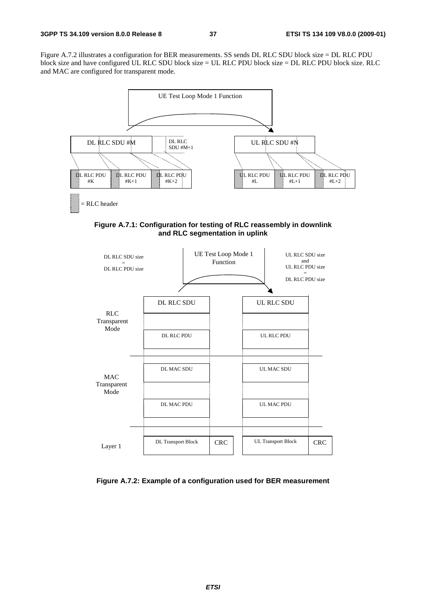Figure A.7.2 illustrates a configuration for BER measurements. SS sends DL RLC SDU block size = DL RLC PDU block size and have configured UL RLC SDU block size = UL RLC PDU block size = DL RLC PDU block size. RLC and MAC are configured for transparent mode.



**Figure A.7.1: Configuration for testing of RLC reassembly in downlink and RLC segmentation in uplink** 



**Figure A.7.2: Example of a configuration used for BER measurement**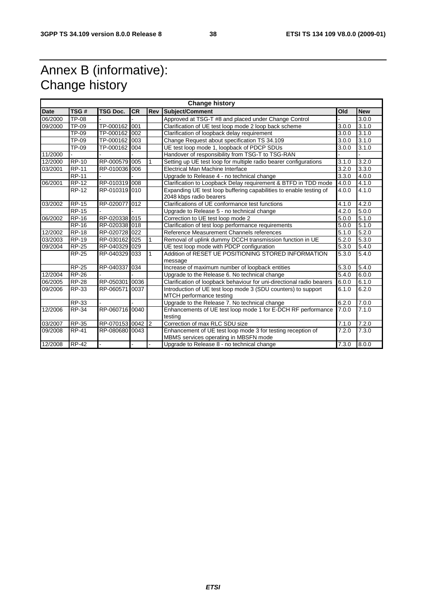# Annex B (informative): Change history

| <b>Change history</b> |              |                  |           |            |                                                                                                      |       |            |
|-----------------------|--------------|------------------|-----------|------------|------------------------------------------------------------------------------------------------------|-------|------------|
| <b>Date</b>           | TSG#         | <b>TSG Doc.</b>  | <b>CR</b> | <b>Rev</b> | Subject/Comment                                                                                      | Old   | <b>New</b> |
| 06/2000               | TP-08        |                  |           |            | Approved at TSG-T #8 and placed under Change Control                                                 |       | 3.0.0      |
| 09/2000               | TP-09        | TP-000162 001    |           |            | Clarification of UE test loop mode 2 loop back scheme                                                | 3.0.0 | 3.1.0      |
|                       | TP-09        | TP-000162 002    |           |            | Clarification of loopback delay requirement                                                          | 3.0.0 | 3.1.0      |
|                       | TP-09        | TP-000162        | 003       |            | Change Request about specification TS 34.109                                                         | 3.0.0 | 3.1.0      |
|                       | TP-09        | TP-000162        | 004       |            | UE test loop mode 1, loopback of PDCP SDUs<br>3.1.0<br>3.0.0                                         |       |            |
| 11/2000               |              |                  |           |            | Handover of responsibility from TSG-T to TSG-RAN                                                     |       |            |
| 12/2000               | <b>RP-10</b> | RP-000579 005    |           |            | Setting up UE test loop for multiple radio bearer configurations                                     | 3.1.0 | 3.2.0      |
| 03/2001               | <b>RP-11</b> | RP-010036 006    |           |            | Electrical Man Machine Interface                                                                     | 3.2.0 | 3.3.0      |
|                       | <b>RP-11</b> |                  |           |            | Upgrade to Release 4 - no technical change                                                           | 3.3.0 | 4.0.0      |
| 06/2001               | <b>RP-12</b> | RP-010319 008    |           |            | Clarification to Loopback Delay requirement & BTFD in TDD mode                                       | 4.0.0 | 4.1.0      |
|                       | <b>RP-12</b> | RP-010319 010    |           |            | Expanding UE test loop buffering capabilities to enable testing of<br>2048 kbps radio bearers        | 4.0.0 | 4.1.0      |
| 03/2002               | <b>RP-15</b> | RP-020077 012    |           |            | Clarifications of UE conformance test functions                                                      | 4.1.0 | 4.2.0      |
|                       | <b>RP-15</b> |                  |           |            | Upgrade to Release 5 - no technical change                                                           | 4.2.0 | 5.0.0      |
| 06/2002               | <b>RP-16</b> | RP-020338 015    |           |            | Correction to UE test loop mode 2                                                                    | 5.0.0 | 5.1.0      |
|                       | <b>RP-16</b> | RP-020338 018    |           |            | Clarification of test loop performance requirements                                                  | 5.0.0 | 5.1.0      |
| 12/2002               | <b>RP-18</b> | RP-020728 022    |           |            | Reference Measurement Channels references                                                            | 5.1.0 | 5.2.0      |
| 03/2003               | <b>RP-19</b> | RP-030162 025    |           |            | Removal of uplink dummy DCCH transmission function in UE                                             | 5.2.0 | 5.3.0      |
| 09/2004               | <b>RP-25</b> | RP-040329 029    |           |            | UE test loop mode with PDCP configuration                                                            | 5.3.0 | 5.4.0      |
|                       | <b>RP-25</b> | RP-040329 033    |           |            | Addition of RESET UE POSITIONING STORED INFORMATION<br>message                                       | 5.3.0 | 5.4.0      |
|                       | <b>RP-25</b> | RP-040337        | 034       |            | Increase of maximum number of loopback entities                                                      | 5.3.0 | 5.4.0      |
| 12/2004               | <b>RP-26</b> |                  |           |            | Upgrade to the Release 6. No technical change                                                        | 5.4.0 | 6.0.0      |
| 06/2005               | <b>RP-28</b> | RP-050301        | 0036      |            | Clarification of loopback behaviour for uni-directional radio bearers                                | 6.0.0 | 6.1.0      |
| 09/2006               | <b>RP-33</b> | RP-060571        | 0037      |            | Introduction of UE test loop mode 3 (SDU counters) to support<br>MTCH performance testing            | 6.1.0 | 6.2.0      |
|                       | RP-33        |                  |           |            | Upgrade to the Release 7. No technical change                                                        | 6.2.0 | 7.0.0      |
| 12/2006               | <b>RP-34</b> | RP-060716 0040   |           |            | Enhancements of UE test loop mode 1 for E-DCH RF performance<br>testing                              | 7.0.0 | 7.1.0      |
| 03/2007               | <b>RP-35</b> | RP-070153 0042 2 |           |            | Correction of max RLC SDU size                                                                       | 7.1.0 | 7.2.0      |
| 09/2008               | <b>RP-41</b> | RP-080680 0043   |           |            | Enhancement of UE test loop mode 3 for testing reception of<br>MBMS services operating in MBSFN mode | 7.2.0 | 7.3.0      |
| 12/2008               | $RP-42$      |                  |           |            | Upgrade to Release 8 - no technical change                                                           | 7.3.0 | 8.0.0      |